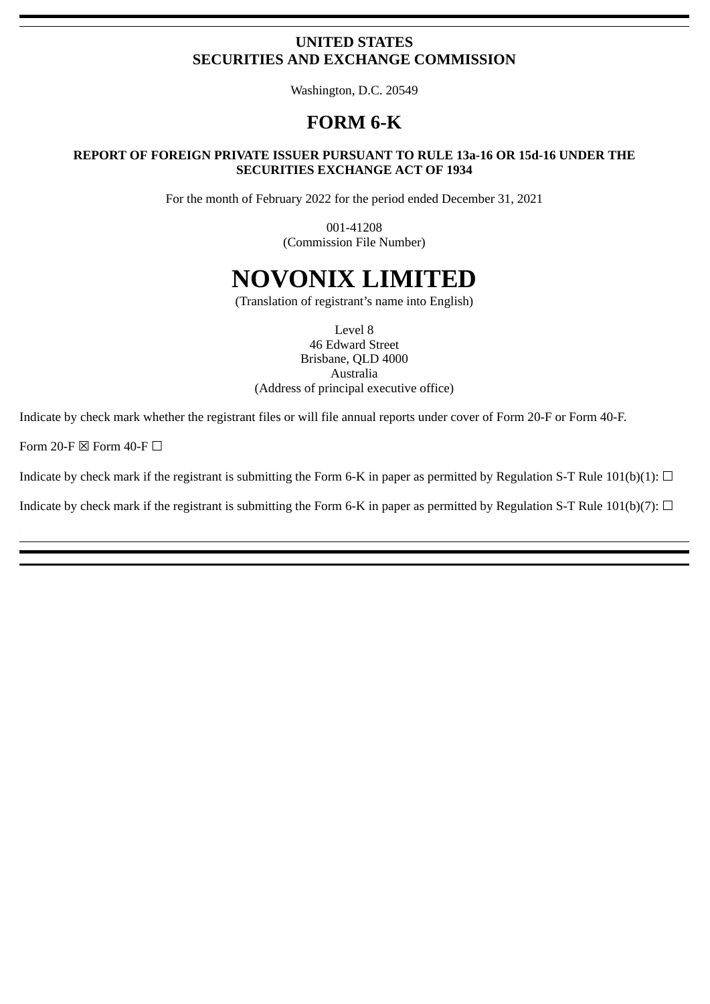# **UNITED STATES SECURITIES AND EXCHANGE COMMISSION**

Washington, D.C. 20549

# **FORM 6-K**

# **REPORT OF FOREIGN PRIVATE ISSUER PURSUANT TO RULE 13a-16 OR 15d-16 UNDER THE SECURITIES EXCHANGE ACT OF 1934**

For the month of February 2022 for the period ended December 31, 2021

001-41208 (Commission File Number)

# **NOVONIX LIMITED**

(Translation of registrant's name into English)

Level 8 46 Edward Street Brisbane, QLD 4000 Australia (Address of principal executive office)

Indicate by check mark whether the registrant files or will file annual reports under cover of Form 20‑F or Form 40‑F.

Form 20-F  $\boxtimes$  Form 40-F  $\Box$ 

Indicate by check mark if the registrant is submitting the Form 6-K in paper as permitted by Regulation S-T Rule 101(b)(1):  $\Box$ 

Indicate by check mark if the registrant is submitting the Form 6-K in paper as permitted by Regulation S-T Rule 101(b)(7):  $\Box$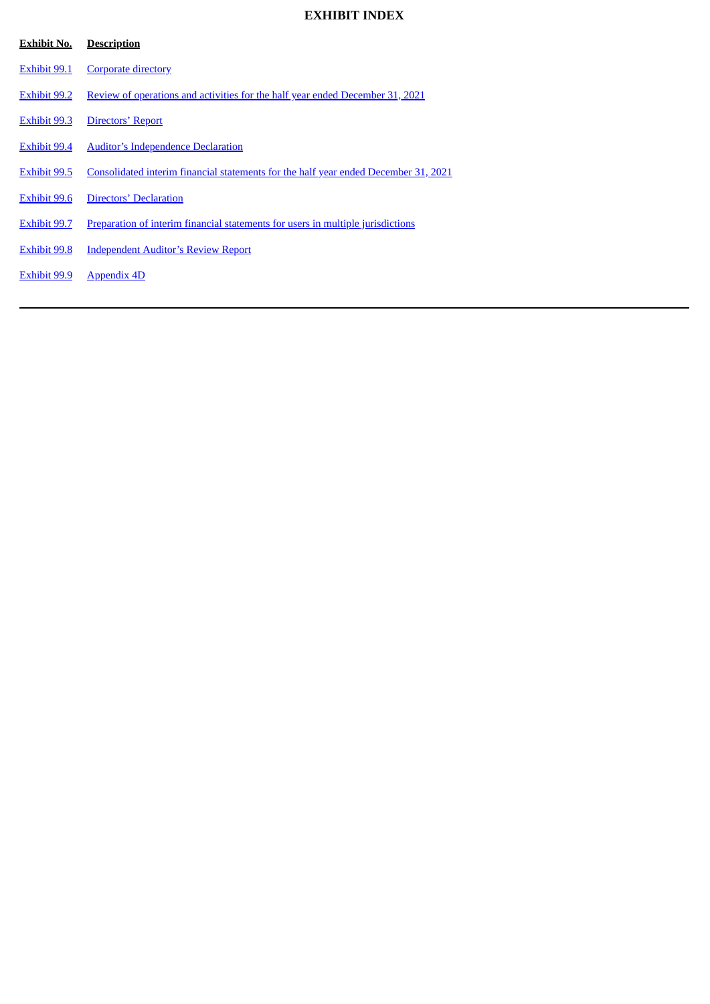# **EXHIBIT INDEX**

| <b>Exhibit No.</b>  | <b>Description</b>                                                                  |
|---------------------|-------------------------------------------------------------------------------------|
| Exhibit 99.1        | <b>Corporate directory</b>                                                          |
| Exhibit 99.2        | Review of operations and activities for the half year ended December 31, 2021       |
| <b>Exhibit 99.3</b> | <b>Directors' Report</b>                                                            |
| Exhibit 99.4        | <b>Auditor's Independence Declaration</b>                                           |
| Exhibit 99.5        | Consolidated interim financial statements for the half year ended December 31, 2021 |
| Exhibit 99.6        | Directors' Declaration                                                              |
| Exhibit 99.7        | Preparation of interim financial statements for users in multiple jurisdictions     |
| <b>Exhibit 99.8</b> | <b>Independent Auditor's Review Report</b>                                          |
| Exhibit 99.9        | <b>Appendix 4D</b>                                                                  |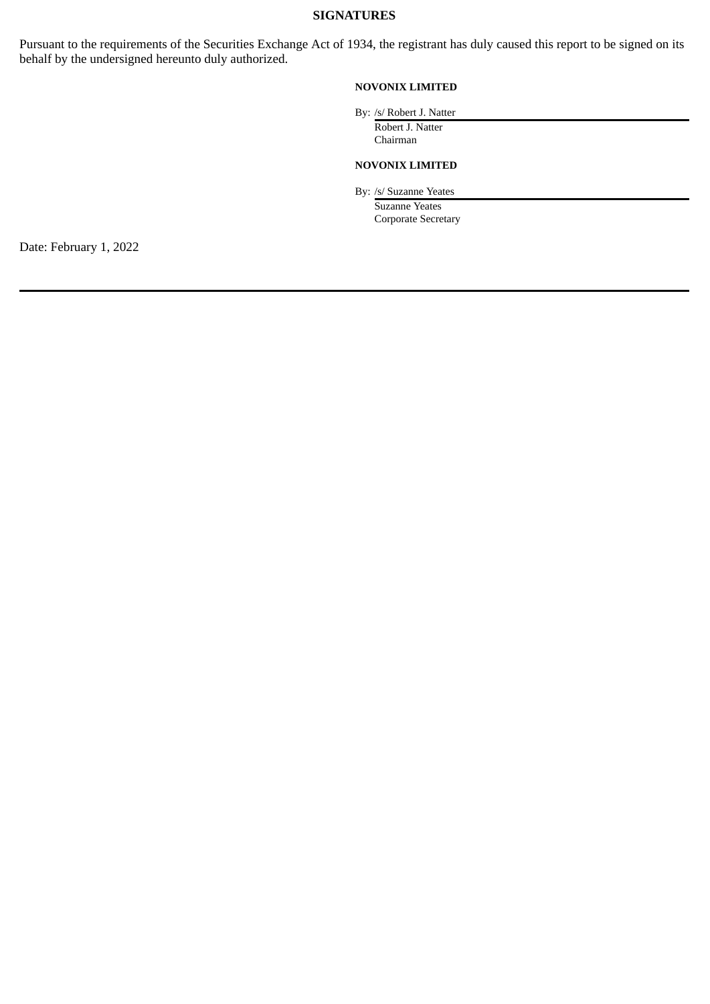# **SIGNATURES**

Pursuant to the requirements of the Securities Exchange Act of 1934, the registrant has duly caused this report to be signed on its behalf by the undersigned hereunto duly authorized.

# **NOVONIX LIMITED**

By: /s/ Robert J. Natter

Robert J. Natter Chairman

# **NOVONIX LIMITED**

By: /s/ Suzanne Yeates

Suzanne Yeates Corporate Secretary

Date: February 1, 2022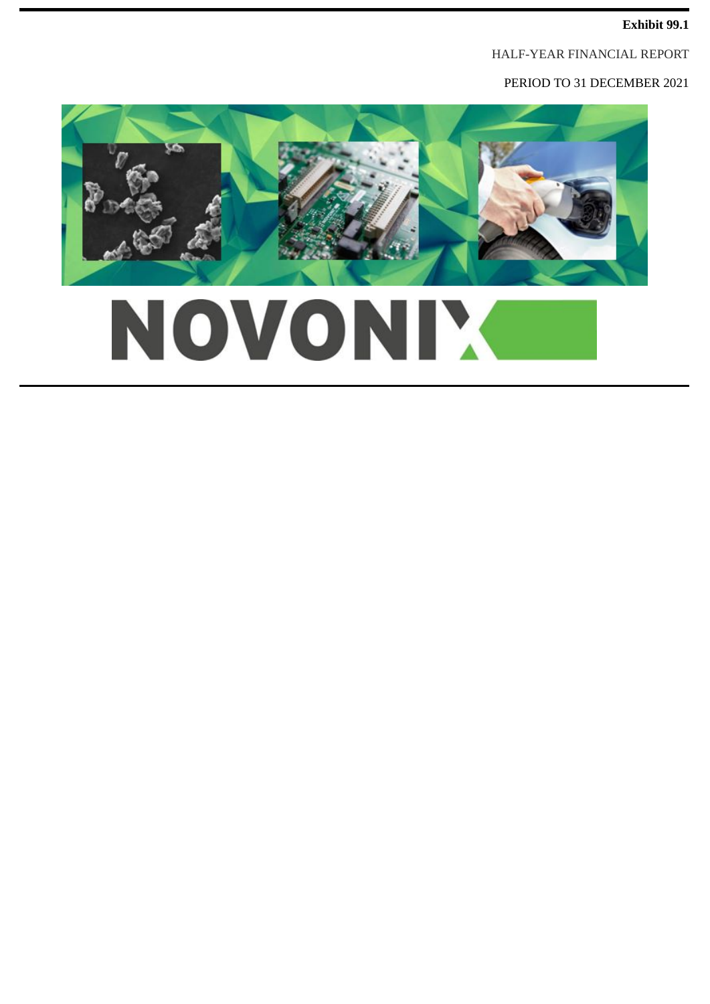# **Exhibit 99.1**

HALF-YEAR FINANCIAL REPORT

PERIOD TO 31 DECEMBER 2021



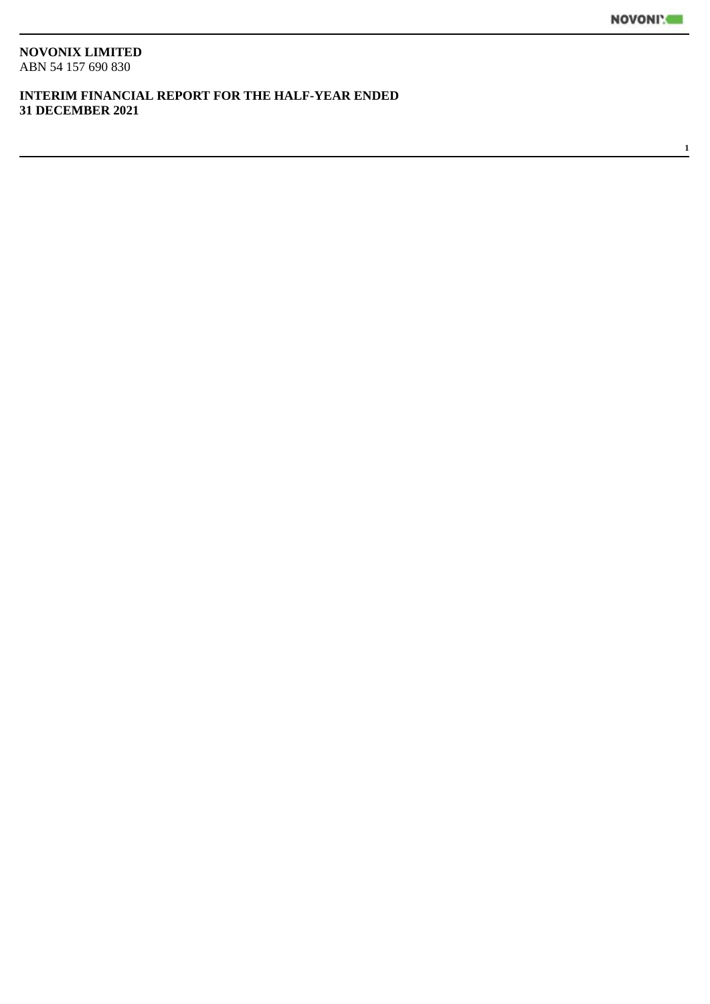**1**

# **NOVONIX LIMITED**

ABN 54 157 690 830

# **INTERIM FINANCIAL REPORT FOR THE HALF-YEAR ENDED 31 DECEMBER 2021**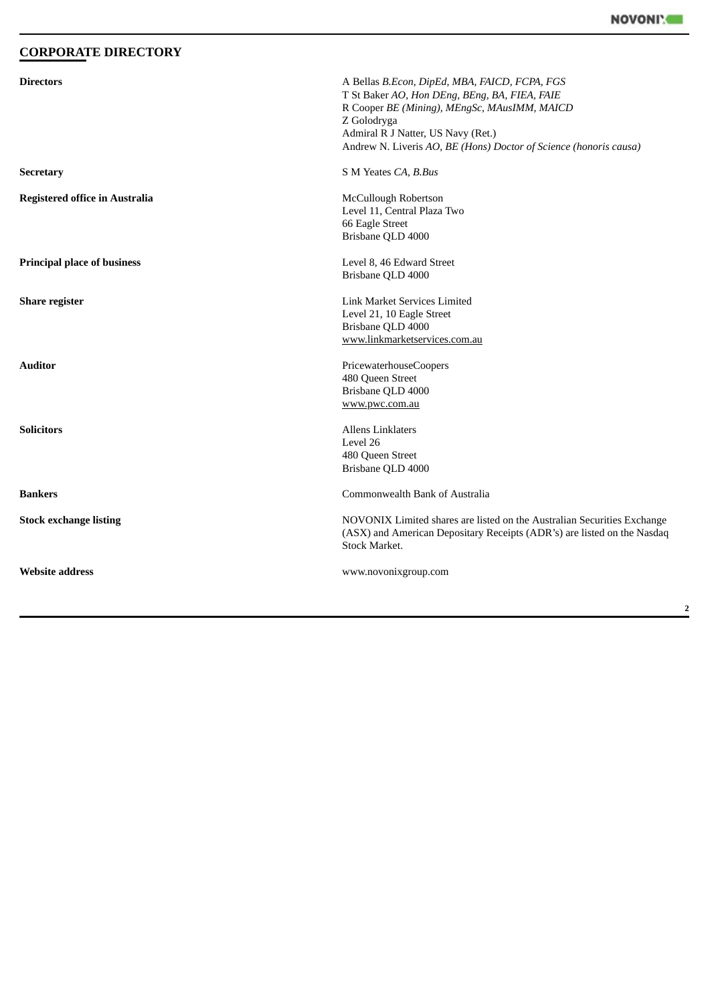# <span id="page-5-0"></span>**CORPORATE DIRECTORY**

| <b>Directors</b>                      | A Bellas B.Econ, DipEd, MBA, FAICD, FCPA, FGS<br>T St Baker AO, Hon DEng, BEng, BA, FIEA, FAIE<br>R Cooper BE (Mining), MEngSc, MAusIMM, MAICD<br>Z Golodryga<br>Admiral R J Natter, US Navy (Ret.)<br>Andrew N. Liveris AO, BE (Hons) Doctor of Science (honoris causa) |
|---------------------------------------|--------------------------------------------------------------------------------------------------------------------------------------------------------------------------------------------------------------------------------------------------------------------------|
| <b>Secretary</b>                      | S M Yeates CA, B.Bus                                                                                                                                                                                                                                                     |
| <b>Registered office in Australia</b> | McCullough Robertson<br>Level 11, Central Plaza Two<br>66 Eagle Street<br>Brisbane QLD 4000                                                                                                                                                                              |
| <b>Principal place of business</b>    | Level 8, 46 Edward Street<br>Brisbane QLD 4000                                                                                                                                                                                                                           |
| <b>Share register</b>                 | Link Market Services Limited<br>Level 21, 10 Eagle Street<br>Brisbane QLD 4000<br>www.linkmarketservices.com.au                                                                                                                                                          |
| <b>Auditor</b>                        | PricewaterhouseCoopers<br>480 Queen Street<br>Brisbane QLD 4000<br>www.pwc.com.au                                                                                                                                                                                        |
| <b>Solicitors</b>                     | <b>Allens Linklaters</b><br>Level 26<br>480 Queen Street<br>Brisbane QLD 4000                                                                                                                                                                                            |
| <b>Bankers</b>                        | Commonwealth Bank of Australia                                                                                                                                                                                                                                           |
| <b>Stock exchange listing</b>         | NOVONIX Limited shares are listed on the Australian Securities Exchange<br>(ASX) and American Depositary Receipts (ADR's) are listed on the Nasdaq<br><b>Stock Market.</b>                                                                                               |
| <b>Website address</b>                | www.novonixgroup.com                                                                                                                                                                                                                                                     |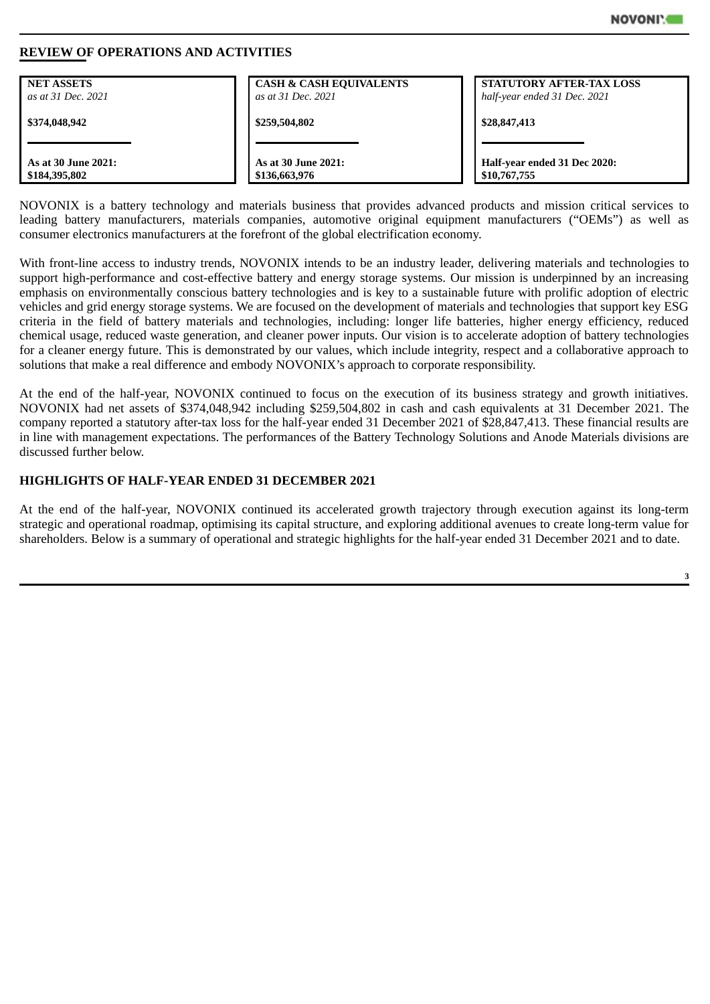

## <span id="page-6-0"></span>**REVIEW OF OPERATIONS AND ACTIVITIES**

| <b>NET ASSETS</b>   | <b>CASH &amp; CASH EQUIVALENTS</b> | <b>STATUTORY AFTER-TAX LOSS</b> |
|---------------------|------------------------------------|---------------------------------|
| as at 31 Dec. 2021  | as at 31 Dec. 2021                 | half-year ended 31 Dec. 2021    |
| \$374,048,942       | \$259,504,802                      | \$28,847,413                    |
| As at 30 June 2021: | As at 30 June 2021:                | Half-year ended 31 Dec 2020:    |
| \$184,395,802       | \$136,663,976                      | \$10,767,755                    |

NOVONIX is a battery technology and materials business that provides advanced products and mission critical services to leading battery manufacturers, materials companies, automotive original equipment manufacturers ("OEMs") as well as consumer electronics manufacturers at the forefront of the global electrification economy.

With front-line access to industry trends, NOVONIX intends to be an industry leader, delivering materials and technologies to support high-performance and cost-effective battery and energy storage systems. Our mission is underpinned by an increasing emphasis on environmentally conscious battery technologies and is key to a sustainable future with prolific adoption of electric vehicles and grid energy storage systems. We are focused on the development of materials and technologies that support key ESG criteria in the field of battery materials and technologies, including: longer life batteries, higher energy efficiency, reduced chemical usage, reduced waste generation, and cleaner power inputs. Our vision is to accelerate adoption of battery technologies for a cleaner energy future. This is demonstrated by our values, which include integrity, respect and a collaborative approach to solutions that make a real difference and embody NOVONIX's approach to corporate responsibility.

At the end of the half-year, NOVONIX continued to focus on the execution of its business strategy and growth initiatives. NOVONIX had net assets of \$374,048,942 including \$259,504,802 in cash and cash equivalents at 31 December 2021. The company reported a statutory after-tax loss for the half-year ended 31 December 2021 of \$28,847,413. These financial results are in line with management expectations. The performances of the Battery Technology Solutions and Anode Materials divisions are discussed further below.

# **HIGHLIGHTS OF HALF-YEAR ENDED 31 DECEMBER 2021**

At the end of the half-year, NOVONIX continued its accelerated growth trajectory through execution against its long-term strategic and operational roadmap, optimising its capital structure, and exploring additional avenues to create long-term value for shareholders. Below is a summary of operational and strategic highlights for the half-year ended 31 December 2021 and to date.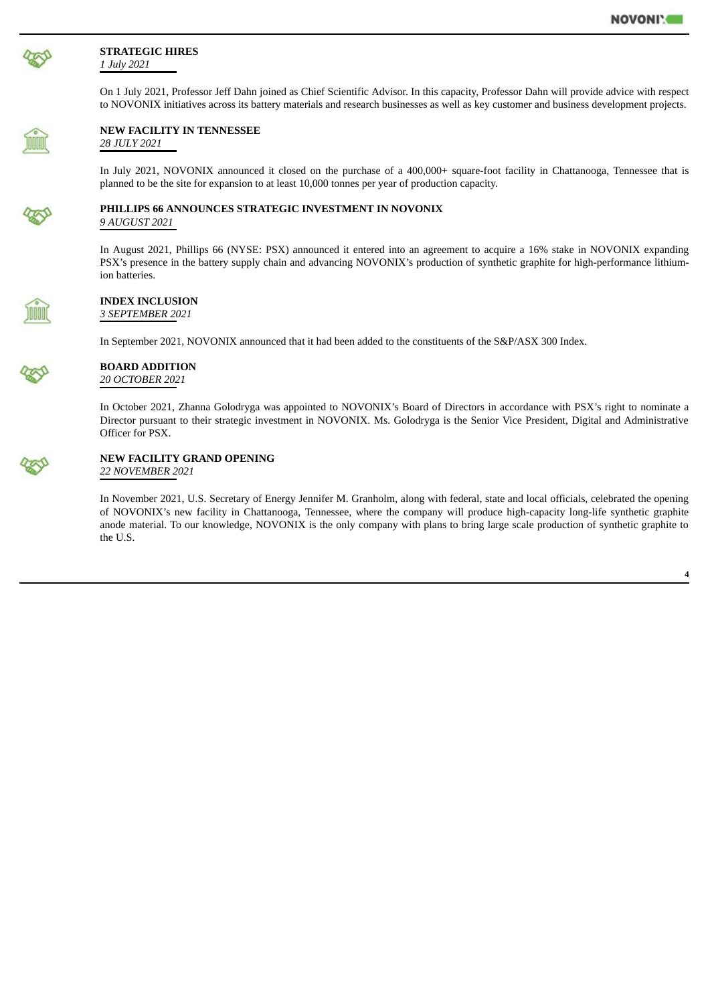

#### **STRATEGIC HIRES** *1 July 2021*

On 1 July 2021, Professor Jeff Dahn joined as Chief Scientific Advisor. In this capacity, Professor Dahn will provide advice with respect to NOVONIX initiatives across its battery materials and research businesses as well as key customer and business development projects.



#### **NEW FACILITY IN TENNESSEE** *28 JULY 2021*

In July 2021, NOVONIX announced it closed on the purchase of a 400,000+ square-foot facility in Chattanooga, Tennessee that is planned to be the site for expansion to at least 10,000 tonnes per year of production capacity.



# **PHILLIPS 66 ANNOUNCES STRATEGIC INVESTMENT IN NOVONIX**

*9 AUGUST 2021*

In August 2021, Phillips 66 (NYSE: PSX) announced it entered into an agreement to acquire a 16% stake in NOVONIX expanding PSX's presence in the battery supply chain and advancing NOVONIX's production of synthetic graphite for high-performance lithiumion batteries.

#### **INDEX INCLUSION** *3 SEPTEMBER 2021*

In September 2021, NOVONIX announced that it had been added to the constituents of the S&P/ASX 300 Index.

|  |  |  | W |
|--|--|--|---|
|  |  |  |   |

#### **BOARD ADDITION** *20 OCTOBER 2021*

In October 2021, Zhanna Golodryga was appointed to NOVONIX's Board of Directors in accordance with PSX's right to nominate a Director pursuant to their strategic investment in NOVONIX. Ms. Golodryga is the Senior Vice President, Digital and Administrative Officer for PSX.



#### **NEW FACILITY GRAND OPENING** *22 NOVEMBER 2021*

In November 2021, U.S. Secretary of Energy Jennifer M. Granholm, along with federal, state and local officials, celebrated the opening of NOVONIX's new facility in Chattanooga, Tennessee, where the company will produce high-capacity long-life synthetic graphite anode material. To our knowledge, NOVONIX is the only company with plans to bring large scale production of synthetic graphite to the U.S.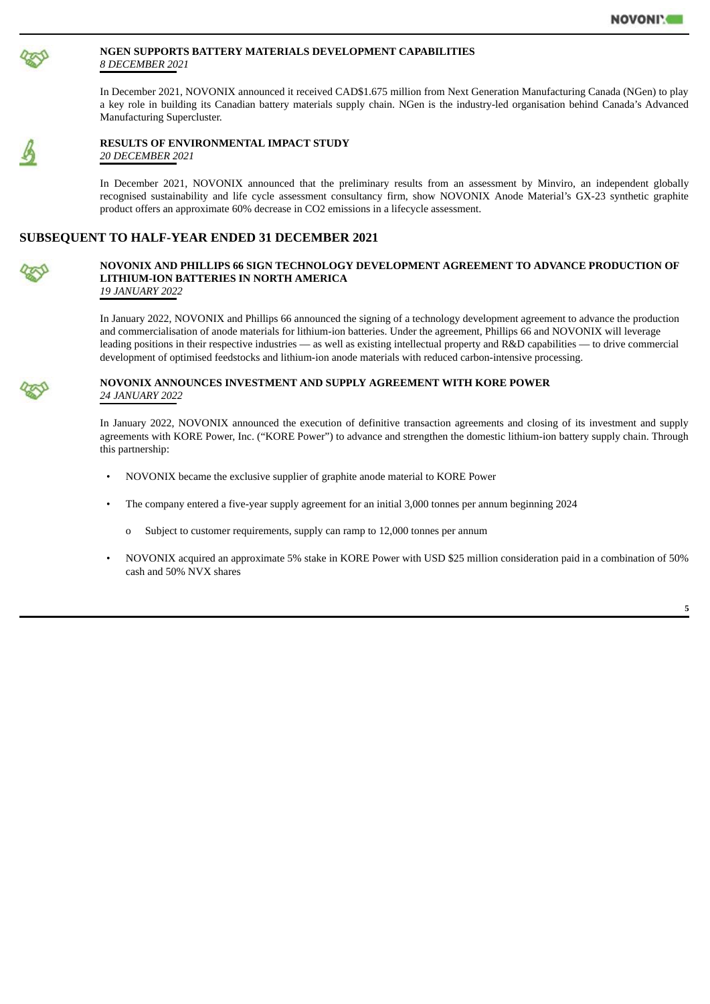

#### **NGEN SUPPORTS BATTERY MATERIALS DEVELOPMENT CAPABILITIES** *8 DECEMBER 2021*

In December 2021, NOVONIX announced it received CAD\$1.675 million from Next Generation Manufacturing Canada (NGen) to play a key role in building its Canadian battery materials supply chain. NGen is the industry-led organisation behind Canada's Advanced Manufacturing Supercluster.



#### **RESULTS OF ENVIRONMENTAL IMPACT STUDY** *20 DECEMBER 2021*

In December 2021, NOVONIX announced that the preliminary results from an assessment by Minviro, an independent globally recognised sustainability and life cycle assessment consultancy firm, show NOVONIX Anode Material's GX-23 synthetic graphite product offers an approximate 60% decrease in CO2 emissions in a lifecycle assessment.

# **SUBSEQUENT TO HALF-YEAR ENDED 31 DECEMBER 2021**



#### **NOVONIX AND PHILLIPS 66 SIGN TECHNOLOGY DEVELOPMENT AGREEMENT TO ADVANCE PRODUCTION OF LITHIUM-ION BATTERIES IN NORTH AMERICA** *19 JANUARY 2022*

In January 2022, NOVONIX and Phillips 66 announced the signing of a technology development agreement to advance the production and commercialisation of anode materials for lithium-ion batteries. Under the agreement, Phillips 66 and NOVONIX will leverage leading positions in their respective industries — as well as existing intellectual property and R&D capabilities — to drive commercial development of optimised feedstocks and lithium-ion anode materials with reduced carbon-intensive processing.



#### **NOVONIX ANNOUNCES INVESTMENT AND SUPPLY AGREEMENT WITH KORE POWER** *24 JANUARY 2022*

In January 2022, NOVONIX announced the execution of definitive transaction agreements and closing of its investment and supply agreements with KORE Power, Inc. ("KORE Power") to advance and strengthen the domestic lithium-ion battery supply chain. Through this partnership:

- NOVONIX became the exclusive supplier of graphite anode material to KORE Power
- The company entered a five-year supply agreement for an initial 3,000 tonnes per annum beginning 2024
	- o Subject to customer requirements, supply can ramp to 12,000 tonnes per annum
- NOVONIX acquired an approximate 5% stake in KORE Power with USD \$25 million consideration paid in a combination of 50% cash and 50% NVX shares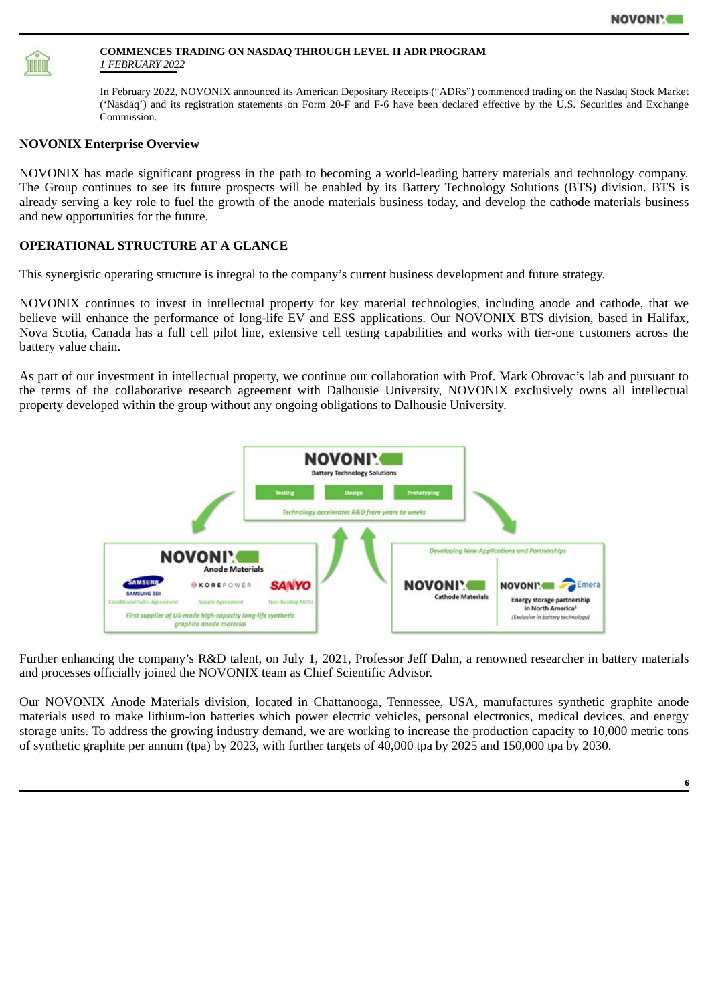

#### **COMMENCES TRADING ON NASDAQ THROUGH LEVEL II ADR PROGRAM** *1 FEBRUARY 2022*

In February 2022, NOVONIX announced its American Depositary Receipts ("ADRs") commenced trading on the Nasdaq Stock Market ('Nasdaq') and its registration statements on Form 20-F and F-6 have been declared effective by the U.S. Securities and Exchange Commission.

# **NOVONIX Enterprise Overview**

NOVONIX has made significant progress in the path to becoming a world-leading battery materials and technology company. The Group continues to see its future prospects will be enabled by its Battery Technology Solutions (BTS) division. BTS is already serving a key role to fuel the growth of the anode materials business today, and develop the cathode materials business and new opportunities for the future.

# **OPERATIONAL STRUCTURE AT A GLANCE**

This synergistic operating structure is integral to the company's current business development and future strategy.

NOVONIX continues to invest in intellectual property for key material technologies, including anode and cathode, that we believe will enhance the performance of long-life EV and ESS applications. Our NOVONIX BTS division, based in Halifax, Nova Scotia, Canada has a full cell pilot line, extensive cell testing capabilities and works with tier-one customers across the battery value chain.

As part of our investment in intellectual property, we continue our collaboration with Prof. Mark Obrovac's lab and pursuant to the terms of the collaborative research agreement with Dalhousie University, NOVONIX exclusively owns all intellectual property developed within the group without any ongoing obligations to Dalhousie University.



Further enhancing the company's R&D talent, on July 1, 2021, Professor Jeff Dahn, a renowned researcher in battery materials and processes officially joined the NOVONIX team as Chief Scientific Advisor.

Our NOVONIX Anode Materials division, located in Chattanooga, Tennessee, USA, manufactures synthetic graphite anode materials used to make lithium-ion batteries which power electric vehicles, personal electronics, medical devices, and energy storage units. To address the growing industry demand, we are working to increase the production capacity to 10,000 metric tons of synthetic graphite per annum (tpa) by 2023, with further targets of 40,000 tpa by 2025 and 150,000 tpa by 2030.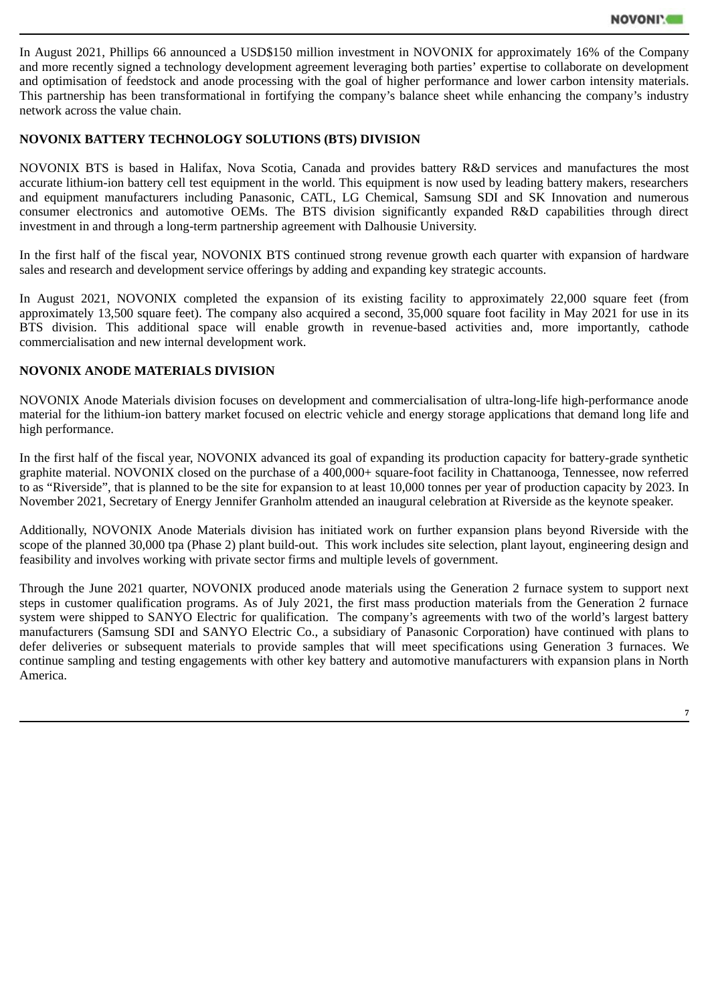In August 2021, Phillips 66 announced a USD\$150 million investment in NOVONIX for approximately 16% of the Company and more recently signed a technology development agreement leveraging both parties' expertise to collaborate on development and optimisation of feedstock and anode processing with the goal of higher performance and lower carbon intensity materials. This partnership has been transformational in fortifying the company's balance sheet while enhancing the company's industry network across the value chain.

# **NOVONIX BATTERY TECHNOLOGY SOLUTIONS (BTS) DIVISION**

NOVONIX BTS is based in Halifax, Nova Scotia, Canada and provides battery R&D services and manufactures the most accurate lithium-ion battery cell test equipment in the world. This equipment is now used by leading battery makers, researchers and equipment manufacturers including Panasonic, CATL, LG Chemical, Samsung SDI and SK Innovation and numerous consumer electronics and automotive OEMs. The BTS division significantly expanded R&D capabilities through direct investment in and through a long-term partnership agreement with Dalhousie University.

In the first half of the fiscal year, NOVONIX BTS continued strong revenue growth each quarter with expansion of hardware sales and research and development service offerings by adding and expanding key strategic accounts.

In August 2021, NOVONIX completed the expansion of its existing facility to approximately 22,000 square feet (from approximately 13,500 square feet). The company also acquired a second, 35,000 square foot facility in May 2021 for use in its BTS division. This additional space will enable growth in revenue-based activities and, more importantly, cathode commercialisation and new internal development work.

# **NOVONIX ANODE MATERIALS DIVISION**

NOVONIX Anode Materials division focuses on development and commercialisation of ultra-long-life high-performance anode material for the lithium-ion battery market focused on electric vehicle and energy storage applications that demand long life and high performance.

In the first half of the fiscal year, NOVONIX advanced its goal of expanding its production capacity for battery-grade synthetic graphite material. NOVONIX closed on the purchase of a 400,000+ square-foot facility in Chattanooga, Tennessee, now referred to as "Riverside", that is planned to be the site for expansion to at least 10,000 tonnes per year of production capacity by 2023. In November 2021, Secretary of Energy Jennifer Granholm attended an inaugural celebration at Riverside as the keynote speaker.

Additionally, NOVONIX Anode Materials division has initiated work on further expansion plans beyond Riverside with the scope of the planned 30,000 tpa (Phase 2) plant build-out. This work includes site selection, plant layout, engineering design and feasibility and involves working with private sector firms and multiple levels of government.

Through the June 2021 quarter, NOVONIX produced anode materials using the Generation 2 furnace system to support next steps in customer qualification programs. As of July 2021, the first mass production materials from the Generation 2 furnace system were shipped to SANYO Electric for qualification. The company's agreements with two of the world's largest battery manufacturers (Samsung SDI and SANYO Electric Co., a subsidiary of Panasonic Corporation) have continued with plans to defer deliveries or subsequent materials to provide samples that will meet specifications using Generation 3 furnaces. We continue sampling and testing engagements with other key battery and automotive manufacturers with expansion plans in North America.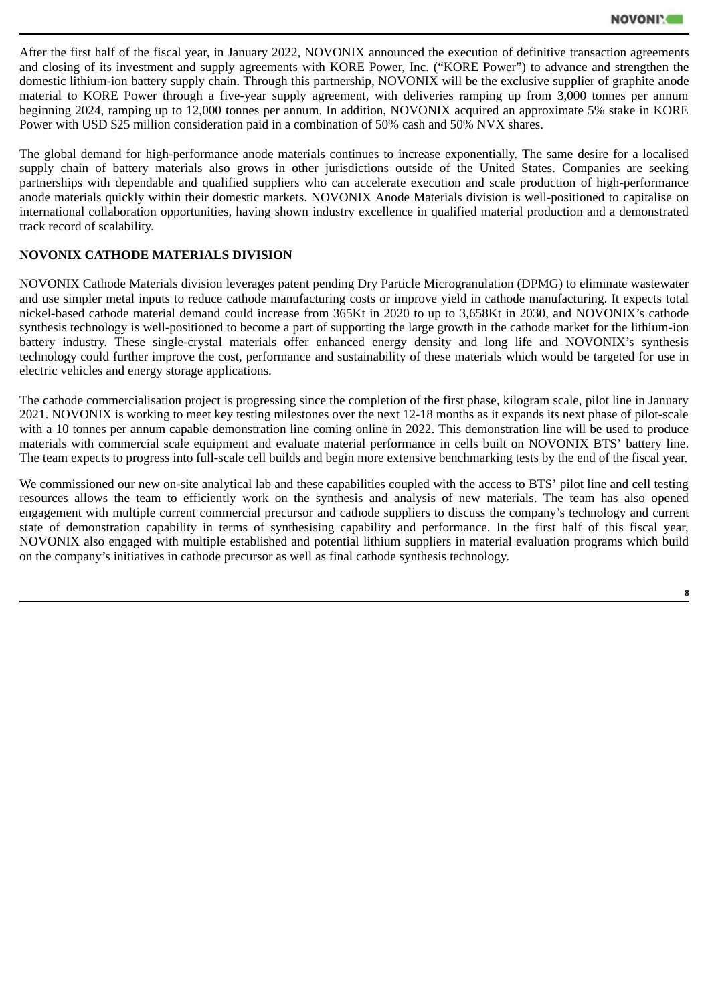After the first half of the fiscal year, in January 2022, NOVONIX announced the execution of definitive transaction agreements and closing of its investment and supply agreements with KORE Power, Inc. ("KORE Power") to advance and strengthen the domestic lithium-ion battery supply chain. Through this partnership, NOVONIX will be the exclusive supplier of graphite anode material to KORE Power through a five-year supply agreement, with deliveries ramping up from 3,000 tonnes per annum beginning 2024, ramping up to 12,000 tonnes per annum. In addition, NOVONIX acquired an approximate 5% stake in KORE Power with USD \$25 million consideration paid in a combination of 50% cash and 50% NVX shares.

The global demand for high-performance anode materials continues to increase exponentially. The same desire for a localised supply chain of battery materials also grows in other jurisdictions outside of the United States. Companies are seeking partnerships with dependable and qualified suppliers who can accelerate execution and scale production of high-performance anode materials quickly within their domestic markets. NOVONIX Anode Materials division is well-positioned to capitalise on international collaboration opportunities, having shown industry excellence in qualified material production and a demonstrated track record of scalability.

# **NOVONIX CATHODE MATERIALS DIVISION**

NOVONIX Cathode Materials division leverages patent pending Dry Particle Microgranulation (DPMG) to eliminate wastewater and use simpler metal inputs to reduce cathode manufacturing costs or improve yield in cathode manufacturing. It expects total nickel-based cathode material demand could increase from 365Kt in 2020 to up to 3,658Kt in 2030, and NOVONIX's cathode synthesis technology is well-positioned to become a part of supporting the large growth in the cathode market for the lithium-ion battery industry. These single-crystal materials offer enhanced energy density and long life and NOVONIX's synthesis technology could further improve the cost, performance and sustainability of these materials which would be targeted for use in electric vehicles and energy storage applications.

The cathode commercialisation project is progressing since the completion of the first phase, kilogram scale, pilot line in January 2021. NOVONIX is working to meet key testing milestones over the next 12-18 months as it expands its next phase of pilot-scale with a 10 tonnes per annum capable demonstration line coming online in 2022. This demonstration line will be used to produce materials with commercial scale equipment and evaluate material performance in cells built on NOVONIX BTS' battery line. The team expects to progress into full-scale cell builds and begin more extensive benchmarking tests by the end of the fiscal year.

We commissioned our new on-site analytical lab and these capabilities coupled with the access to BTS' pilot line and cell testing resources allows the team to efficiently work on the synthesis and analysis of new materials. The team has also opened engagement with multiple current commercial precursor and cathode suppliers to discuss the company's technology and current state of demonstration capability in terms of synthesising capability and performance. In the first half of this fiscal year, NOVONIX also engaged with multiple established and potential lithium suppliers in material evaluation programs which build on the company's initiatives in cathode precursor as well as final cathode synthesis technology.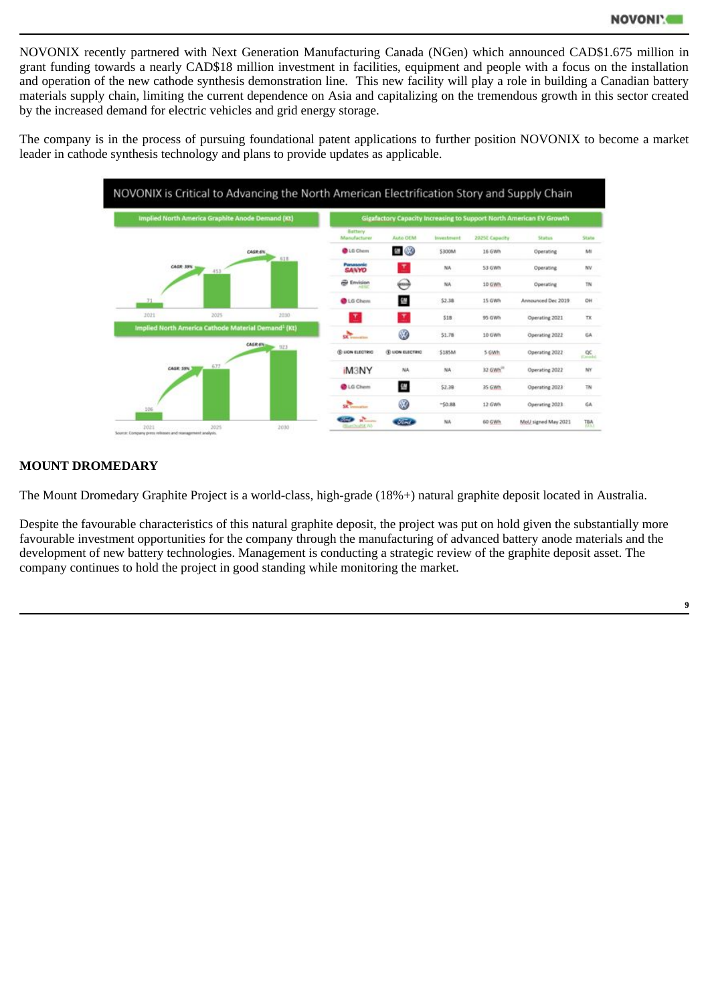NOVONIX recently partnered with Next Generation Manufacturing Canada (NGen) which announced CAD\$1.675 million in grant funding towards a nearly CAD\$18 million investment in facilities, equipment and people with a focus on the installation and operation of the new cathode synthesis demonstration line. This new facility will play a role in building a Canadian battery materials supply chain, limiting the current dependence on Asia and capitalizing on the tremendous growth in this sector created by the increased demand for electric vehicles and grid energy storage.

The company is in the process of pursuing foundational patent applications to further position NOVONIX to become a market leader in cathode synthesis technology and plans to provide updates as applicable.



# **MOUNT DROMEDARY**

The Mount Dromedary Graphite Project is a world-class, high-grade (18%+) natural graphite deposit located in Australia.

Despite the favourable characteristics of this natural graphite deposit, the project was put on hold given the substantially more favourable investment opportunities for the company through the manufacturing of advanced battery anode materials and the development of new battery technologies. Management is conducting a strategic review of the graphite deposit asset. The company continues to hold the project in good standing while monitoring the market.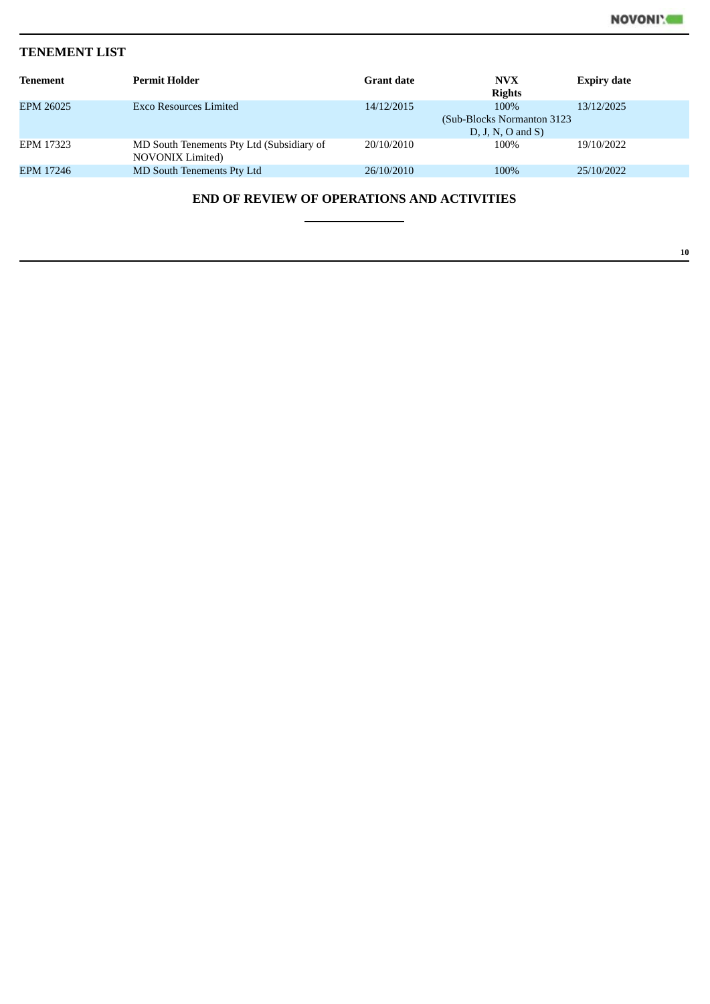**10**

# **TENEMENT LIST**

| <b>Tenement</b>                                   | <b>Permit Holder</b>                                                 | <b>Grant date</b> | <b>NVX</b><br><b>Rights</b>                                | <b>Expiry date</b> |  |  |  |
|---------------------------------------------------|----------------------------------------------------------------------|-------------------|------------------------------------------------------------|--------------------|--|--|--|
| EPM 26025                                         | Exco Resources Limited                                               | 14/12/2015        | 100%<br>(Sub-Blocks Normanton 3123)<br>$D, J, N, O$ and S) | 13/12/2025         |  |  |  |
| EPM 17323                                         | MD South Tenements Pty Ltd (Subsidiary of<br><b>NOVONIX Limited)</b> | 20/10/2010        | 100%                                                       | 19/10/2022         |  |  |  |
| EPM 17246                                         | MD South Tenements Pty Ltd                                           | 26/10/2010        | 100%                                                       | 25/10/2022         |  |  |  |
| <b>END OF REVIEW OF OPERATIONS AND ACTIVITIES</b> |                                                                      |                   |                                                            |                    |  |  |  |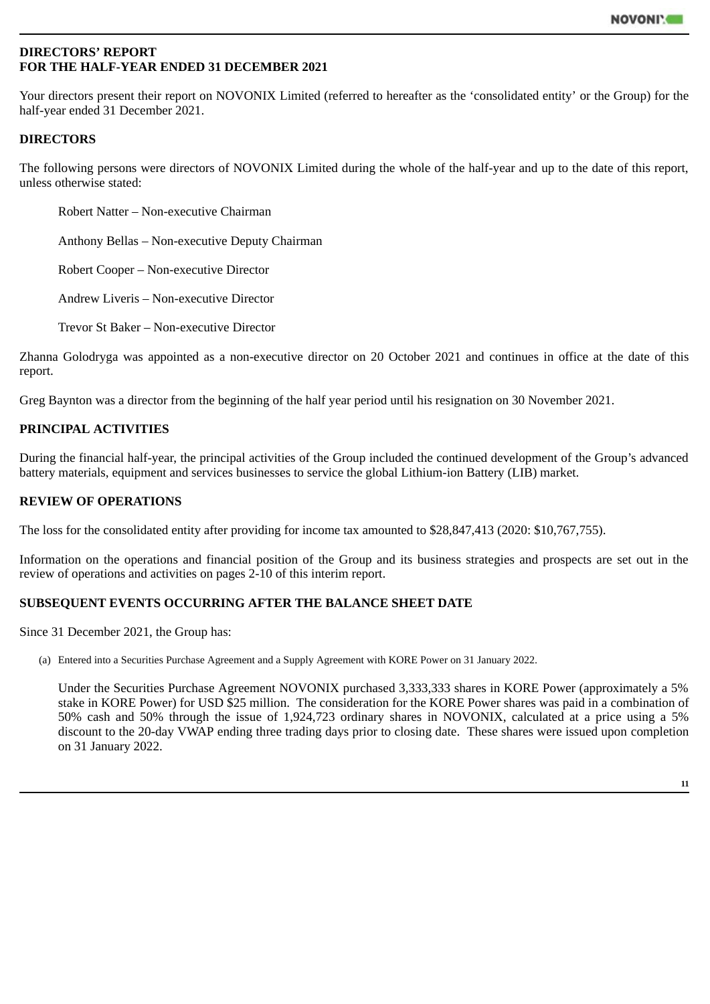# <span id="page-14-0"></span>**DIRECTORS' REPORT FOR THE HALF-YEAR ENDED 31 DECEMBER 2021**

Your directors present their report on NOVONIX Limited (referred to hereafter as the 'consolidated entity' or the Group) for the half-year ended 31 December 2021.

# **DIRECTORS**

The following persons were directors of NOVONIX Limited during the whole of the half-year and up to the date of this report, unless otherwise stated:

Robert Natter – Non-executive Chairman

Anthony Bellas – Non-executive Deputy Chairman

Robert Cooper – Non-executive Director

Andrew Liveris – Non-executive Director

Trevor St Baker – Non-executive Director

Zhanna Golodryga was appointed as a non-executive director on 20 October 2021 and continues in office at the date of this report.

Greg Baynton was a director from the beginning of the half year period until his resignation on 30 November 2021.

# **PRINCIPAL ACTIVITIES**

During the financial half-year, the principal activities of the Group included the continued development of the Group's advanced battery materials, equipment and services businesses to service the global Lithium-ion Battery (LIB) market.

# **REVIEW OF OPERATIONS**

The loss for the consolidated entity after providing for income tax amounted to \$28,847,413 (2020: \$10,767,755).

Information on the operations and financial position of the Group and its business strategies and prospects are set out in the review of operations and activities on pages 2-10 of this interim report.

# **SUBSEQUENT EVENTS OCCURRING AFTER THE BALANCE SHEET DATE**

Since 31 December 2021, the Group has:

(a) Entered into a Securities Purchase Agreement and a Supply Agreement with KORE Power on 31 January 2022.

Under the Securities Purchase Agreement NOVONIX purchased 3,333,333 shares in KORE Power (approximately a 5% stake in KORE Power) for USD \$25 million. The consideration for the KORE Power shares was paid in a combination of 50% cash and 50% through the issue of 1,924,723 ordinary shares in NOVONIX, calculated at a price using a 5% discount to the 20-day VWAP ending three trading days prior to closing date. These shares were issued upon completion on 31 January 2022.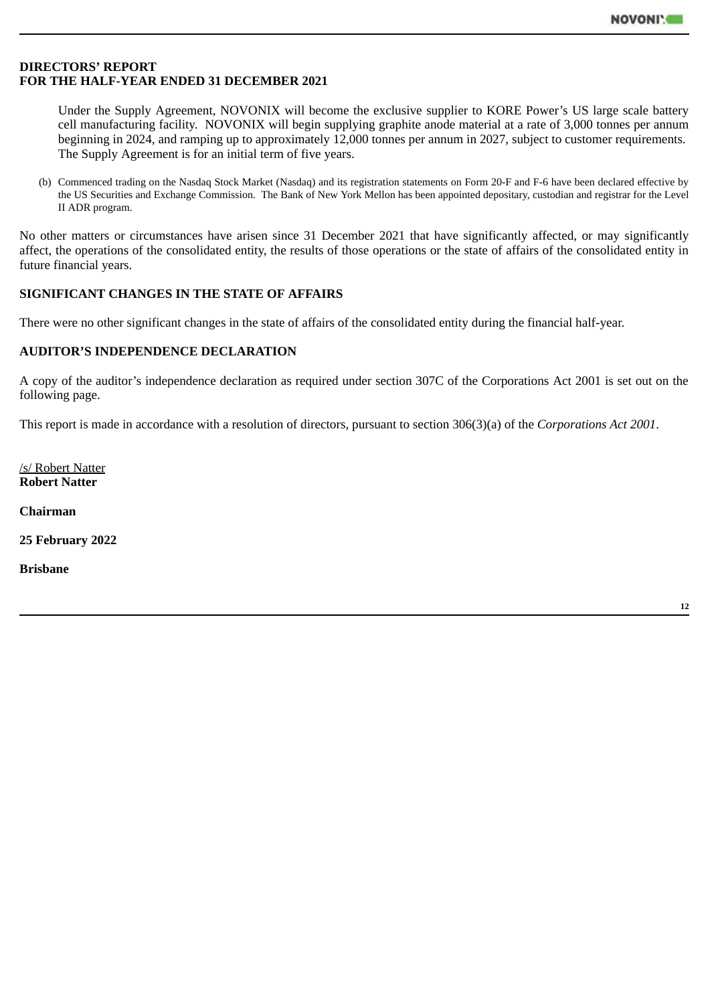# **DIRECTORS' REPORT FOR THE HALF-YEAR ENDED 31 DECEMBER 2021**

Under the Supply Agreement, NOVONIX will become the exclusive supplier to KORE Power's US large scale battery cell manufacturing facility. NOVONIX will begin supplying graphite anode material at a rate of 3,000 tonnes per annum beginning in 2024, and ramping up to approximately 12,000 tonnes per annum in 2027, subject to customer requirements. The Supply Agreement is for an initial term of five years.

(b) Commenced trading on the Nasdaq Stock Market (Nasdaq) and its registration statements on Form 20-F and F-6 have been declared effective by the US Securities and Exchange Commission. The Bank of New York Mellon has been appointed depositary, custodian and registrar for the Level II ADR program.

No other matters or circumstances have arisen since 31 December 2021 that have significantly affected, or may significantly affect, the operations of the consolidated entity, the results of those operations or the state of affairs of the consolidated entity in future financial years.

# **SIGNIFICANT CHANGES IN THE STATE OF AFFAIRS**

There were no other significant changes in the state of affairs of the consolidated entity during the financial half-year.

# **AUDITOR'S INDEPENDENCE DECLARATION**

A copy of the auditor's independence declaration as required under section 307C of the Corporations Act 2001 is set out on the following page.

This report is made in accordance with a resolution of directors, pursuant to section 306(3)(a) of the *Corporations Act 2001*.

/s/ Robert Natter **Robert Natter**

**Chairman**

**25 February 2022**

**Brisbane**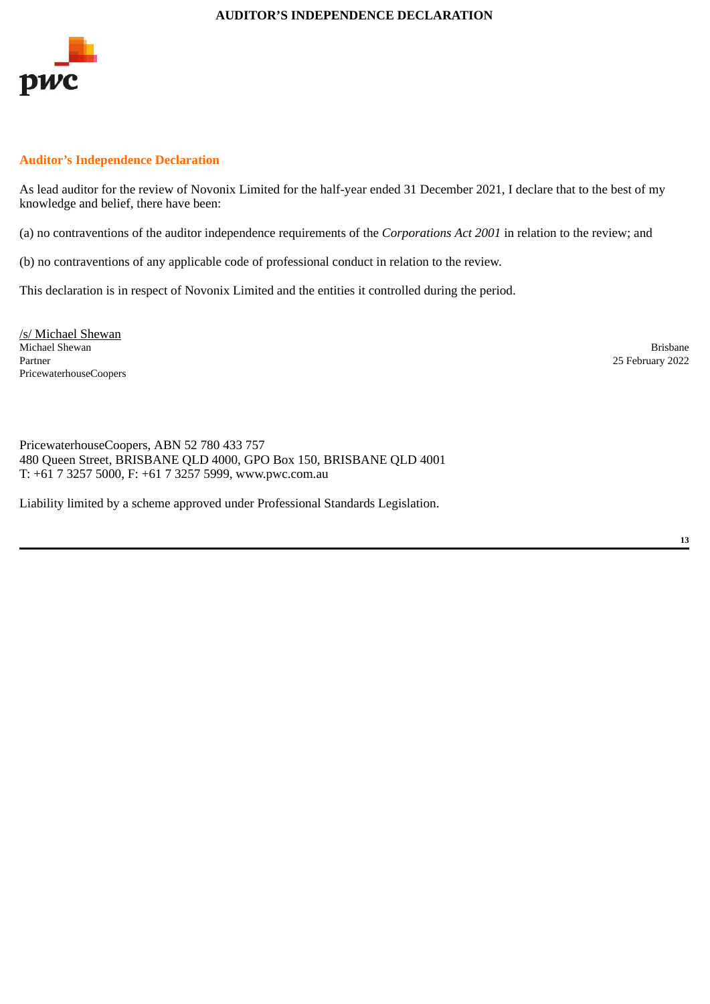#### **AUDITOR'S INDEPENDENCE DECLARATION**

<span id="page-16-0"></span>

# **Auditor's Independence Declaration**

As lead auditor for the review of Novonix Limited for the half-year ended 31 December 2021, I declare that to the best of my knowledge and belief, there have been:

(a) no contraventions of the auditor independence requirements of the *Corporations Act 2001* in relation to the review; and

(b) no contraventions of any applicable code of professional conduct in relation to the review.

This declaration is in respect of Novonix Limited and the entities it controlled during the period.

/s/ Michael Shewan Michael Shewan Brisbane<br>
Partner 2002<br>
Partner 2002 PricewaterhouseCoopers

25 February 2022

PricewaterhouseCoopers, ABN 52 780 433 757 480 Queen Street, BRISBANE QLD 4000, GPO Box 150, BRISBANE QLD 4001 T: +61 7 3257 5000, F: +61 7 3257 5999, www.pwc.com.au

Liability limited by a scheme approved under Professional Standards Legislation.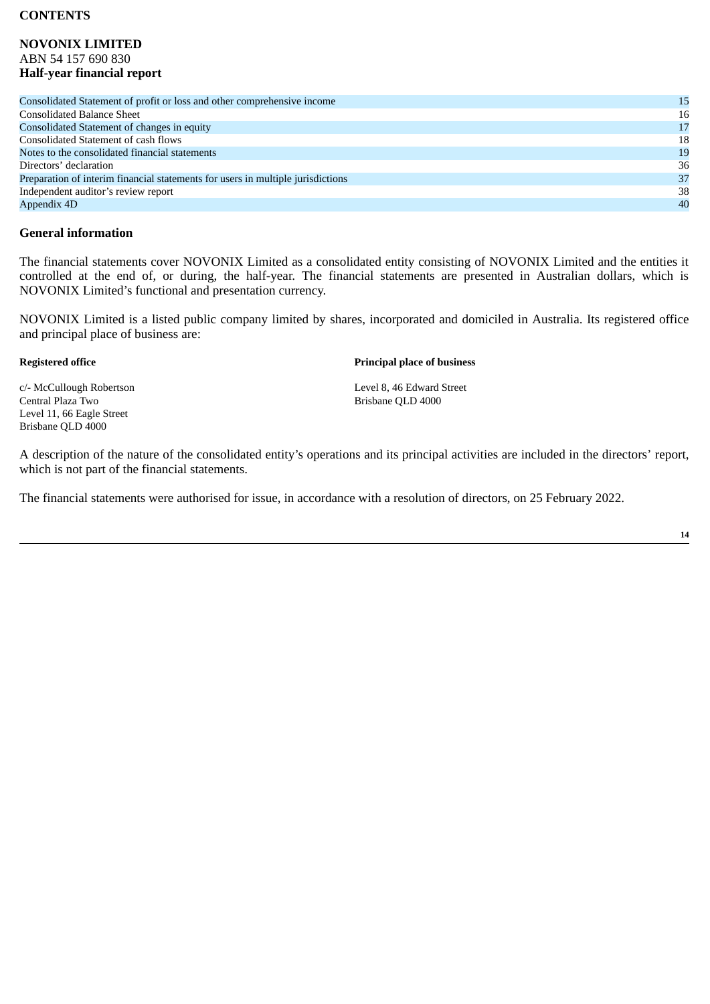# **CONTENTS**

# **NOVONIX LIMITED** ABN 54 157 690 830 **Half-year financial report**

| Consolidated Statement of profit or loss and other comprehensive income         | 15 |
|---------------------------------------------------------------------------------|----|
| <b>Consolidated Balance Sheet</b>                                               | 16 |
| Consolidated Statement of changes in equity                                     | 17 |
| Consolidated Statement of cash flows                                            | 18 |
| Notes to the consolidated financial statements                                  | 19 |
| Directors' declaration                                                          | 36 |
| Preparation of interim financial statements for users in multiple jurisdictions | 37 |
| Independent auditor's review report                                             | 38 |
| Appendix 4D                                                                     | 40 |
|                                                                                 |    |

# **General information**

The financial statements cover NOVONIX Limited as a consolidated entity consisting of NOVONIX Limited and the entities it controlled at the end of, or during, the half-year. The financial statements are presented in Australian dollars, which is NOVONIX Limited's functional and presentation currency.

NOVONIX Limited is a listed public company limited by shares, incorporated and domiciled in Australia. Its registered office and principal place of business are:

#### **Registered office Principal place of business**

c/- McCullough Robertson Level 8, 46 Edward Street<br>
Central Plaza Two Control Brisbane OLD 4000 Level 11, 66 Eagle Street Brisbane QLD 4000

Brisbane OLD 4000

A description of the nature of the consolidated entity's operations and its principal activities are included in the directors' report, which is not part of the financial statements.

The financial statements were authorised for issue, in accordance with a resolution of directors, on 25 February 2022.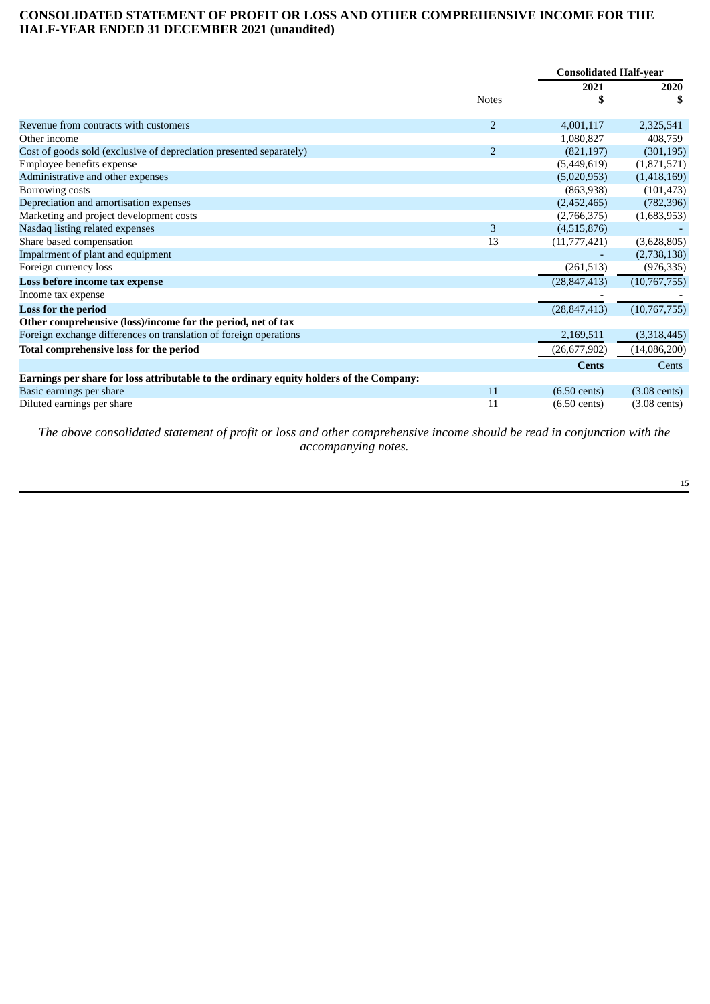# <span id="page-18-0"></span>**CONSOLIDATED STATEMENT OF PROFIT OR LOSS AND OTHER COMPREHENSIVE INCOME FOR THE HALF-YEAR ENDED 31 DECEMBER 2021 (unaudited)**

|                                                                                         |                | <b>Consolidated Half-year</b> |                        |
|-----------------------------------------------------------------------------------------|----------------|-------------------------------|------------------------|
|                                                                                         |                | 2021                          | 2020                   |
|                                                                                         | <b>Notes</b>   | \$                            |                        |
| Revenue from contracts with customers                                                   | $\overline{2}$ | 4,001,117                     | 2,325,541              |
| Other income                                                                            |                | 1,080,827                     | 408,759                |
| Cost of goods sold (exclusive of depreciation presented separately)                     | $\overline{2}$ | (821, 197)                    | (301, 195)             |
| Employee benefits expense                                                               |                | (5,449,619)                   | (1,871,571)            |
| Administrative and other expenses                                                       |                | (5,020,953)                   | (1,418,169)            |
| Borrowing costs                                                                         |                | (863,938)                     | (101, 473)             |
| Depreciation and amortisation expenses                                                  |                | (2,452,465)                   | (782, 396)             |
| Marketing and project development costs                                                 |                | (2,766,375)                   | (1,683,953)            |
| Nasdaq listing related expenses                                                         | 3              | (4,515,876)                   |                        |
| Share based compensation                                                                | 13             | (11,777,421)                  | (3,628,805)            |
| Impairment of plant and equipment                                                       |                |                               | (2,738,138)            |
| Foreign currency loss                                                                   |                | (261, 513)                    | (976, 335)             |
| Loss before income tax expense                                                          |                | (28, 847, 413)                | (10,767,755)           |
| Income tax expense                                                                      |                |                               |                        |
| Loss for the period                                                                     |                | (28, 847, 413)                | (10,767,755)           |
| Other comprehensive (loss)/income for the period, net of tax                            |                |                               |                        |
| Foreign exchange differences on translation of foreign operations                       |                | 2,169,511                     | (3,318,445)            |
| <b>Total comprehensive loss for the period</b>                                          |                | (26, 677, 902)                | (14,086,200)           |
|                                                                                         |                | <b>Cents</b>                  | Cents                  |
| Earnings per share for loss attributable to the ordinary equity holders of the Company: |                |                               |                        |
| Basic earnings per share                                                                | 11             | $(6.50 \text{ cents})$        | $(3.08 \text{ cents})$ |
| Diluted earnings per share                                                              | 11             | $(6.50 \text{ cents})$        | $(3.08 \text{ cents})$ |

*The above consolidated statement of profit or loss and other comprehensive income should be read in conjunction with the accompanying notes.*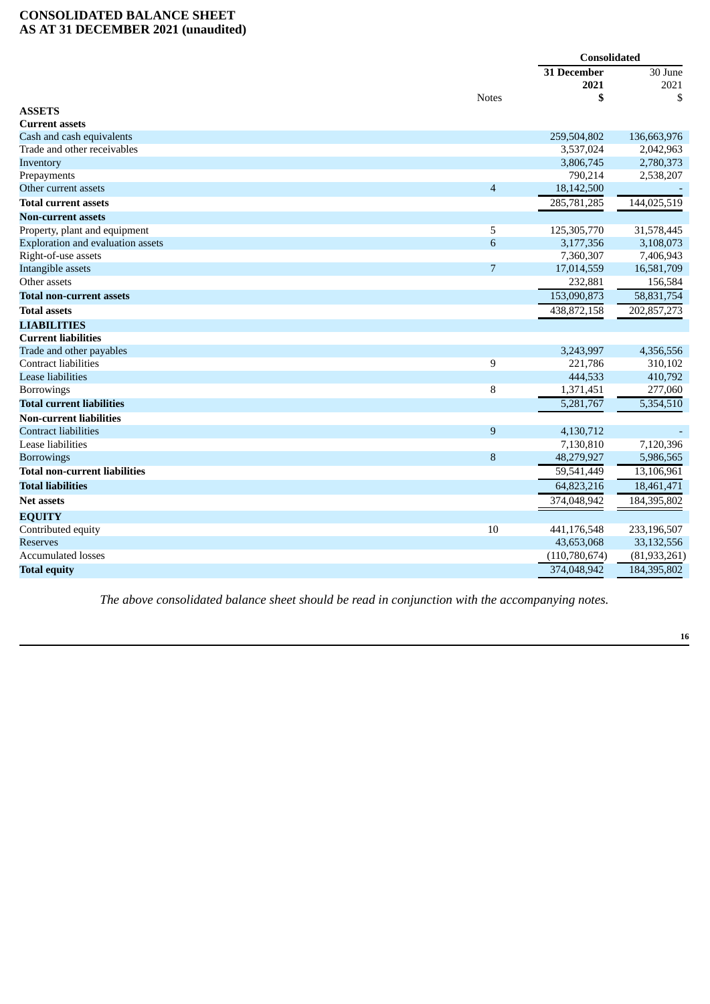# **CONSOLIDATED BALANCE SHEET AS AT 31 DECEMBER 2021 (unaudited)**

|                                          |                  | <b>Consolidated</b> |                |
|------------------------------------------|------------------|---------------------|----------------|
|                                          |                  | 31 December         | $30$ June      |
|                                          |                  | 2021                | 2021           |
|                                          | <b>Notes</b>     | \$                  | \$             |
| <b>ASSETS</b>                            |                  |                     |                |
| <b>Current assets</b>                    |                  |                     |                |
| Cash and cash equivalents                |                  | 259,504,802         | 136,663,976    |
| Trade and other receivables              |                  | 3,537,024           | 2,042,963      |
| Inventory                                |                  | 3,806,745           | 2,780,373      |
| Prepayments                              |                  | 790,214             | 2,538,207      |
| Other current assets                     | $\overline{4}$   | 18,142,500          |                |
| <b>Total current assets</b>              |                  | 285,781,285         | 144,025,519    |
| Non-current assets                       |                  |                     |                |
| Property, plant and equipment            | 5                | 125,305,770         | 31,578,445     |
| <b>Exploration and evaluation assets</b> | 6                | 3,177,356           | 3,108,073      |
| Right-of-use assets                      |                  | 7,360,307           | 7,406,943      |
| Intangible assets                        | $\overline{7}$   | 17,014,559          | 16,581,709     |
| Other assets                             |                  | 232,881             | 156,584        |
| <b>Total non-current assets</b>          |                  | 153,090,873         | 58,831,754     |
| <b>Total assets</b>                      |                  | 438,872,158         | 202,857,273    |
| <b>LIABILITIES</b>                       |                  |                     |                |
| <b>Current liabilities</b>               |                  |                     |                |
| Trade and other payables                 |                  | 3,243,997           | 4,356,556      |
| Contract liabilities                     | 9                | 221,786             | 310,102        |
| <b>Lease liabilities</b>                 |                  | 444,533             | 410,792        |
| <b>Borrowings</b>                        | 8                | 1,371,451           | 277,060        |
| <b>Total current liabilities</b>         |                  | 5,281,767           | 5,354,510      |
| <b>Non-current liabilities</b>           |                  |                     |                |
| <b>Contract liabilities</b>              | $\boldsymbol{9}$ | 4,130,712           |                |
| Lease liabilities                        |                  | 7,130,810           | 7,120,396      |
| <b>Borrowings</b>                        | $\, 8$           | 48,279,927          | 5,986,565      |
| <b>Total non-current liabilities</b>     |                  | 59,541,449          | 13,106,961     |
| <b>Total liabilities</b>                 |                  | 64,823,216          | 18,461,471     |
| <b>Net assets</b>                        |                  | 374,048,942         | 184,395,802    |
| <b>EQUITY</b>                            |                  |                     |                |
| Contributed equity                       | 10               | 441,176,548         | 233,196,507    |
| <b>Reserves</b>                          |                  | 43,653,068          | 33,132,556     |
| <b>Accumulated losses</b>                |                  | (110, 780, 674)     | (81, 933, 261) |
| <b>Total equity</b>                      |                  | 374,048,942         | 184,395,802    |

*The above consolidated balance sheet should be read in conjunction with the accompanying notes.*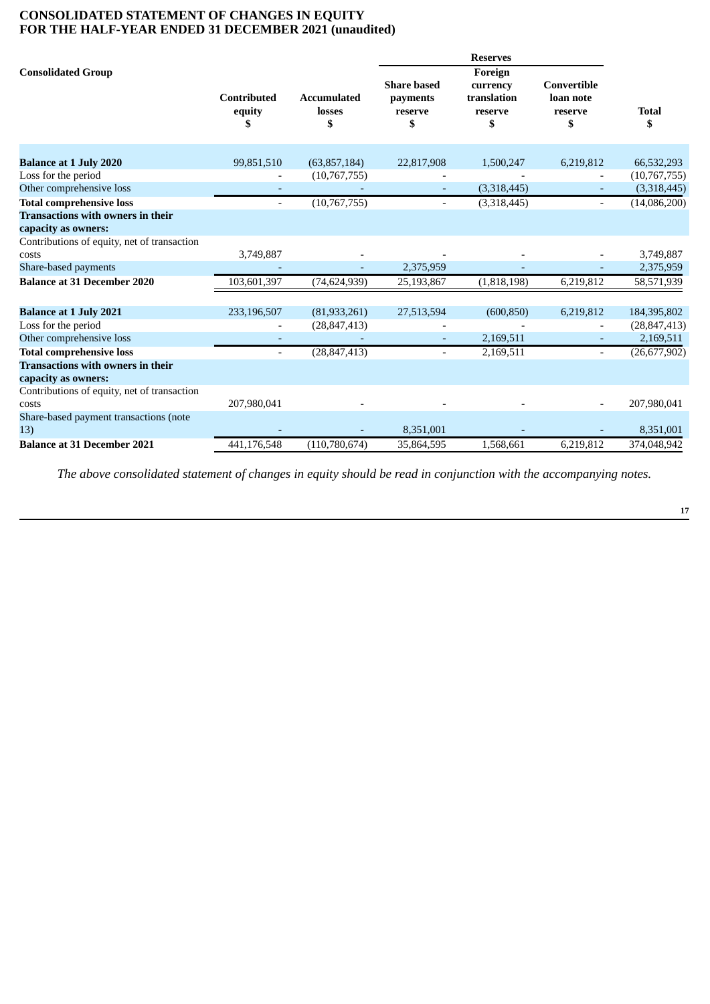# **CONSOLIDATED STATEMENT OF CHANGES IN EQUITY FOR THE HALF-YEAR ENDED 31 DECEMBER 2021 (unaudited)**

|                                               |                                    |                                    |                                                 | <b>Reserves</b>                                     |                                           |                    |
|-----------------------------------------------|------------------------------------|------------------------------------|-------------------------------------------------|-----------------------------------------------------|-------------------------------------------|--------------------|
| <b>Consolidated Group</b>                     | <b>Contributed</b><br>equity<br>\$ | <b>Accumulated</b><br>losses<br>\$ | <b>Share based</b><br>payments<br>reserve<br>\$ | Foreign<br>currency<br>translation<br>reserve<br>\$ | Convertible<br>loan note<br>reserve<br>\$ | <b>Total</b><br>\$ |
| <b>Balance at 1 July 2020</b>                 | 99,851,510                         | (63, 857, 184)                     | 22,817,908                                      | 1,500,247                                           | 6,219,812                                 | 66,532,293         |
| Loss for the period                           |                                    | (10,767,755)                       |                                                 |                                                     |                                           | (10,767,755)       |
| Other comprehensive loss                      |                                    |                                    |                                                 | (3,318,445)                                         |                                           | (3,318,445)        |
| <b>Total comprehensive loss</b>               |                                    | (10, 767, 755)                     |                                                 | (3,318,445)                                         |                                           | (14,086,200)       |
| <b>Transactions with owners in their</b>      |                                    |                                    |                                                 |                                                     |                                           |                    |
| capacity as owners:                           |                                    |                                    |                                                 |                                                     |                                           |                    |
| Contributions of equity, net of transaction   |                                    |                                    |                                                 |                                                     |                                           |                    |
| costs                                         | 3,749,887                          |                                    |                                                 |                                                     |                                           | 3,749,887          |
| Share-based payments                          |                                    |                                    | 2,375,959                                       |                                                     |                                           | 2,375,959          |
| <b>Balance at 31 December 2020</b>            | 103,601,397                        | (74, 624, 939)                     | 25,193,867                                      | (1,818,198)                                         | 6,219,812                                 | 58,571,939         |
| <b>Balance at 1 July 2021</b>                 | 233,196,507                        | (81, 933, 261)                     | 27,513,594                                      | (600, 850)                                          | 6,219,812                                 | 184,395,802        |
| Loss for the period                           |                                    | (28, 847, 413)                     |                                                 |                                                     |                                           | (28, 847, 413)     |
| Other comprehensive loss                      |                                    |                                    |                                                 | 2,169,511                                           |                                           | 2,169,511          |
| <b>Total comprehensive loss</b>               |                                    | (28, 847, 413)                     |                                                 | 2,169,511                                           |                                           | (26, 677, 902)     |
| <b>Transactions with owners in their</b>      |                                    |                                    |                                                 |                                                     |                                           |                    |
| capacity as owners:                           |                                    |                                    |                                                 |                                                     |                                           |                    |
| Contributions of equity, net of transaction   |                                    |                                    |                                                 |                                                     |                                           |                    |
| costs                                         | 207,980,041                        |                                    |                                                 |                                                     |                                           | 207,980,041        |
| Share-based payment transactions (note<br>13) |                                    |                                    | 8,351,001                                       |                                                     |                                           | 8,351,001          |
| <b>Balance at 31 December 2021</b>            | 441,176,548                        | (110,780,674)                      | 35,864,595                                      | 1,568,661                                           | 6,219,812                                 | 374,048,942        |

*The above consolidated statement of changes in equity should be read in conjunction with the accompanying notes.*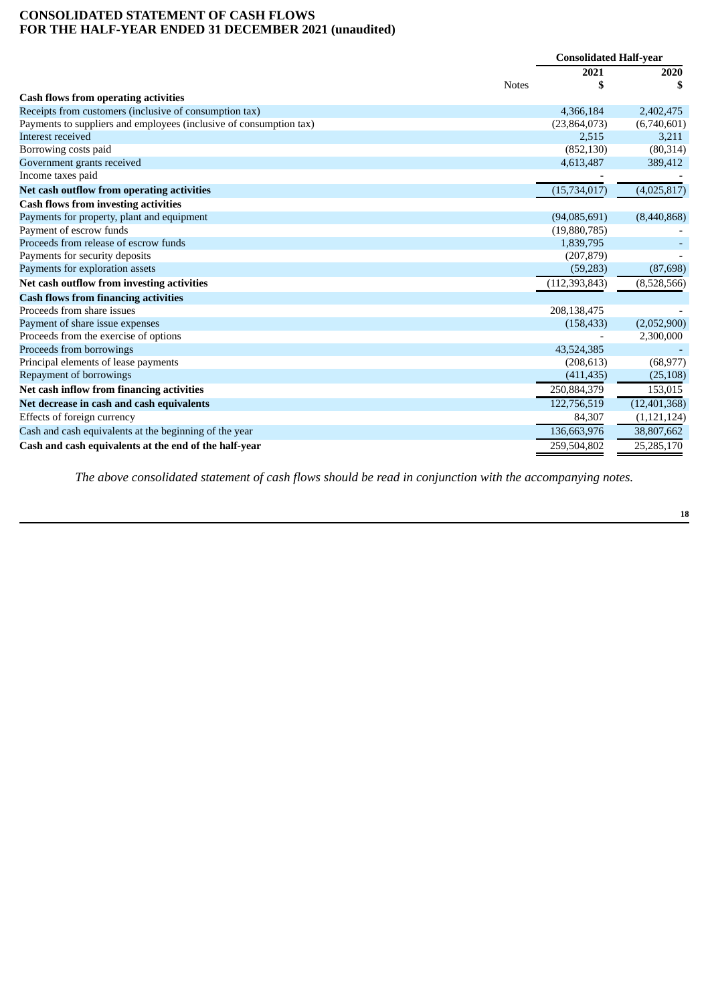# **CONSOLIDATED STATEMENT OF CASH FLOWS FOR THE HALF-YEAR ENDED 31 DECEMBER 2021 (unaudited)**

|                                                                    |              | <b>Consolidated Half-year</b> |                |
|--------------------------------------------------------------------|--------------|-------------------------------|----------------|
|                                                                    |              | 2021                          | 2020           |
|                                                                    | <b>Notes</b> | \$                            |                |
| <b>Cash flows from operating activities</b>                        |              |                               |                |
| Receipts from customers (inclusive of consumption tax)             |              | 4,366,184                     | 2,402,475      |
| Payments to suppliers and employees (inclusive of consumption tax) |              | (23,864,073)                  | (6,740,601)    |
| Interest received                                                  |              | 2,515                         | 3,211          |
| Borrowing costs paid                                               |              | (852, 130)                    | (80, 314)      |
| Government grants received                                         |              | 4,613,487                     | 389,412        |
| Income taxes paid                                                  |              |                               |                |
| Net cash outflow from operating activities                         |              | (15,734,017)                  | (4,025,817)    |
| <b>Cash flows from investing activities</b>                        |              |                               |                |
| Payments for property, plant and equipment                         |              | (94,085,691)                  | (8,440,868)    |
| Payment of escrow funds                                            |              | (19,880,785)                  |                |
| Proceeds from release of escrow funds                              |              | 1,839,795                     |                |
| Payments for security deposits                                     |              | (207, 879)                    |                |
| Payments for exploration assets                                    |              | (59, 283)                     | (87, 698)      |
| Net cash outflow from investing activities                         |              | (112, 393, 843)               | (8,528,566)    |
| <b>Cash flows from financing activities</b>                        |              |                               |                |
| Proceeds from share issues                                         |              | 208,138,475                   |                |
| Payment of share issue expenses                                    |              | (158, 433)                    | (2,052,900)    |
| Proceeds from the exercise of options                              |              |                               | 2,300,000      |
| Proceeds from borrowings                                           |              | 43,524,385                    |                |
| Principal elements of lease payments                               |              | (208, 613)                    | (68, 977)      |
| Repayment of borrowings                                            |              | (411, 435)                    | (25, 108)      |
| Net cash inflow from financing activities                          |              | 250,884,379                   | 153,015        |
| Net decrease in cash and cash equivalents                          |              | 122,756,519                   | (12, 401, 368) |
| Effects of foreign currency                                        |              | 84,307                        | (1, 121, 124)  |
| Cash and cash equivalents at the beginning of the year             |              | 136,663,976                   | 38,807,662     |
| Cash and cash equivalents at the end of the half-year              |              | 259,504,802                   | 25,285,170     |

*The above consolidated statement of cash flows should be read in conjunction with the accompanying notes.*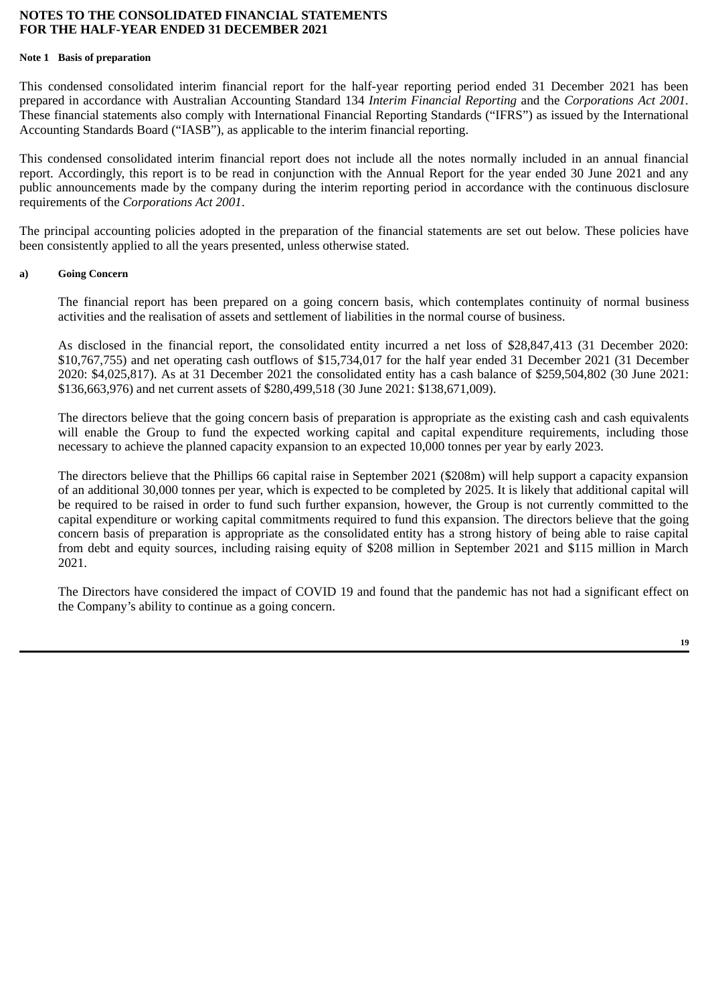#### **Note 1 Basis of preparation**

This condensed consolidated interim financial report for the half-year reporting period ended 31 December 2021 has been prepared in accordance with Australian Accounting Standard 134 *Interim Financial Reporting* and the *Corporations Act 2001.* These financial statements also comply with International Financial Reporting Standards ("IFRS") as issued by the International Accounting Standards Board ("IASB"), as applicable to the interim financial reporting.

This condensed consolidated interim financial report does not include all the notes normally included in an annual financial report. Accordingly, this report is to be read in conjunction with the Annual Report for the year ended 30 June 2021 and any public announcements made by the company during the interim reporting period in accordance with the continuous disclosure requirements of the *Corporations Act 2001*.

The principal accounting policies adopted in the preparation of the financial statements are set out below. These policies have been consistently applied to all the years presented, unless otherwise stated.

#### **a) Going Concern**

The financial report has been prepared on a going concern basis, which contemplates continuity of normal business activities and the realisation of assets and settlement of liabilities in the normal course of business.

As disclosed in the financial report, the consolidated entity incurred a net loss of \$28,847,413 (31 December 2020: \$10,767,755) and net operating cash outflows of \$15,734,017 for the half year ended 31 December 2021 (31 December 2020: \$4,025,817). As at 31 December 2021 the consolidated entity has a cash balance of \$259,504,802 (30 June 2021: \$136,663,976) and net current assets of \$280,499,518 (30 June 2021: \$138,671,009).

The directors believe that the going concern basis of preparation is appropriate as the existing cash and cash equivalents will enable the Group to fund the expected working capital and capital expenditure requirements, including those necessary to achieve the planned capacity expansion to an expected 10,000 tonnes per year by early 2023.

The directors believe that the Phillips 66 capital raise in September 2021 (\$208m) will help support a capacity expansion of an additional 30,000 tonnes per year, which is expected to be completed by 2025. It is likely that additional capital will be required to be raised in order to fund such further expansion, however, the Group is not currently committed to the capital expenditure or working capital commitments required to fund this expansion. The directors believe that the going concern basis of preparation is appropriate as the consolidated entity has a strong history of being able to raise capital from debt and equity sources, including raising equity of \$208 million in September 2021 and \$115 million in March 2021.

The Directors have considered the impact of COVID 19 and found that the pandemic has not had a significant effect on the Company's ability to continue as a going concern.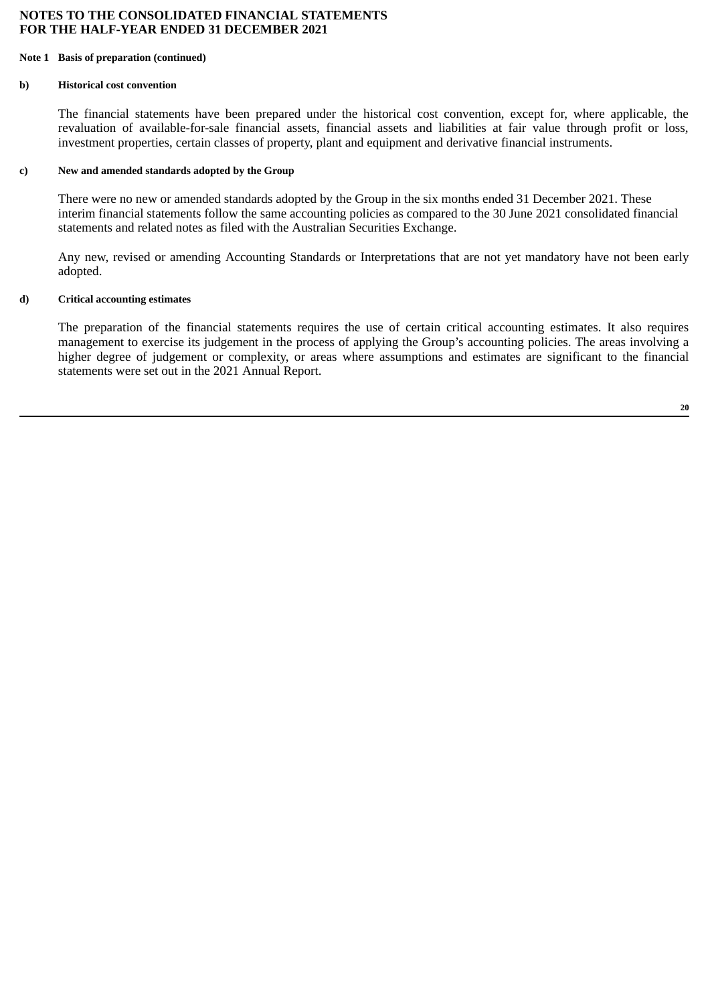#### **Note 1 Basis of preparation (continued)**

## **b) Historical cost convention**

The financial statements have been prepared under the historical cost convention, except for, where applicable, the revaluation of available-for-sale financial assets, financial assets and liabilities at fair value through profit or loss, investment properties, certain classes of property, plant and equipment and derivative financial instruments.

#### **c) New and amended standards adopted by the Group**

There were no new or amended standards adopted by the Group in the six months ended 31 December 2021. These interim financial statements follow the same accounting policies as compared to the 30 June 2021 consolidated financial statements and related notes as filed with the Australian Securities Exchange.

Any new, revised or amending Accounting Standards or Interpretations that are not yet mandatory have not been early adopted.

## **d) Critical accounting estimates**

The preparation of the financial statements requires the use of certain critical accounting estimates. It also requires management to exercise its judgement in the process of applying the Group's accounting policies. The areas involving a higher degree of judgement or complexity, or areas where assumptions and estimates are significant to the financial statements were set out in the 2021 Annual Report.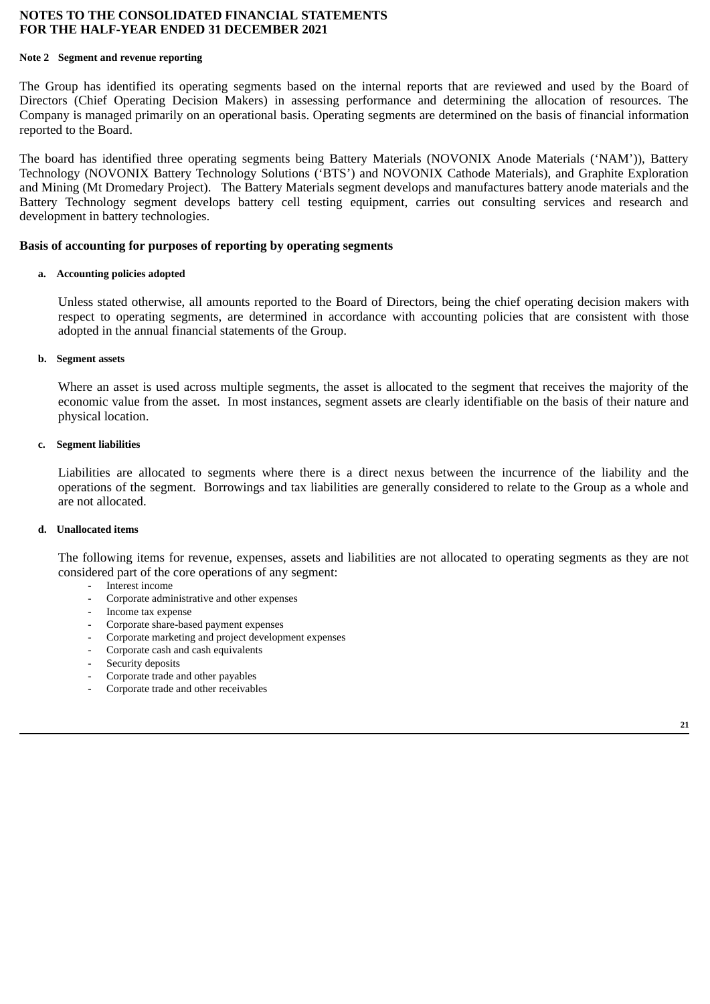#### **Note 2 Segment and revenue reporting**

The Group has identified its operating segments based on the internal reports that are reviewed and used by the Board of Directors (Chief Operating Decision Makers) in assessing performance and determining the allocation of resources. The Company is managed primarily on an operational basis. Operating segments are determined on the basis of financial information reported to the Board.

The board has identified three operating segments being Battery Materials (NOVONIX Anode Materials ('NAM')), Battery Technology (NOVONIX Battery Technology Solutions ('BTS') and NOVONIX Cathode Materials), and Graphite Exploration and Mining (Mt Dromedary Project). The Battery Materials segment develops and manufactures battery anode materials and the Battery Technology segment develops battery cell testing equipment, carries out consulting services and research and development in battery technologies.

## **Basis of accounting for purposes of reporting by operating segments**

#### **a. Accounting policies adopted**

Unless stated otherwise, all amounts reported to the Board of Directors, being the chief operating decision makers with respect to operating segments, are determined in accordance with accounting policies that are consistent with those adopted in the annual financial statements of the Group.

#### **b. Segment assets**

Where an asset is used across multiple segments, the asset is allocated to the segment that receives the majority of the economic value from the asset. In most instances, segment assets are clearly identifiable on the basis of their nature and physical location.

#### **c. Segment liabilities**

Liabilities are allocated to segments where there is a direct nexus between the incurrence of the liability and the operations of the segment. Borrowings and tax liabilities are generally considered to relate to the Group as a whole and are not allocated.

#### **d. Unallocated items**

The following items for revenue, expenses, assets and liabilities are not allocated to operating segments as they are not considered part of the core operations of any segment:

- Interest income
- Corporate administrative and other expenses
- Income tax expense
- Corporate share-based payment expenses
- Corporate marketing and project development expenses
- Corporate cash and cash equivalents
- Security deposits
- Corporate trade and other payables
- Corporate trade and other receivables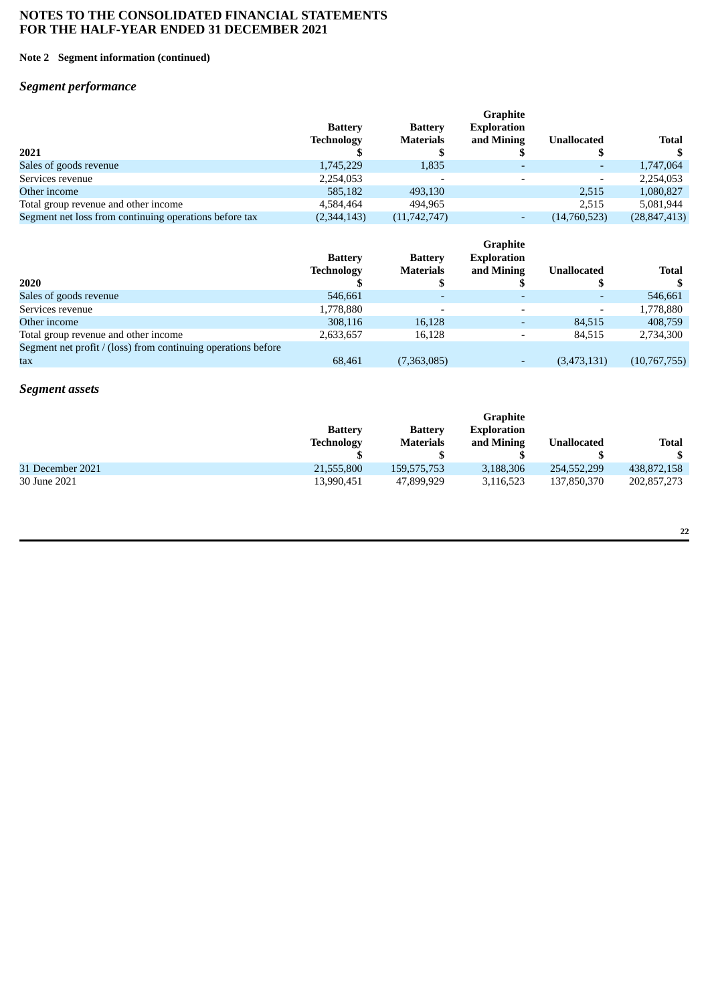#### **Note 2 Segment information (continued)**

# *Segment performance*

|                                                        |                   |                          | <b>Graphite</b>          |                    |                |
|--------------------------------------------------------|-------------------|--------------------------|--------------------------|--------------------|----------------|
|                                                        | <b>Battery</b>    | <b>Battery</b>           | <b>Exploration</b>       |                    |                |
|                                                        | <b>Technology</b> | <b>Materials</b>         | and Mining               | <b>Unallocated</b> | <b>Total</b>   |
| 2021                                                   |                   |                          |                          |                    |                |
| Sales of goods revenue                                 | 1,745,229         | 1,835                    | $\overline{\phantom{0}}$ |                    | 1,747,064      |
| Services revenue                                       | 2,254,053         | $\overline{\phantom{0}}$ | $\overline{\phantom{0}}$ |                    | 2,254,053      |
| Other income                                           | 585,182           | 493,130                  |                          | 2,515              | 1,080,827      |
| Total group revenue and other income                   | 4.584.464         | 494.965                  |                          | 2,515              | 5,081,944      |
| Segment net loss from continuing operations before tax | (2,344,143)       | (11,742,747)             | $\overline{\phantom{0}}$ | (14,760,523)       | (28, 847, 413) |

|                                                               |                                     |                                    | <b>Graphite</b><br><b>Exploration</b> |                          |              |
|---------------------------------------------------------------|-------------------------------------|------------------------------------|---------------------------------------|--------------------------|--------------|
|                                                               | <b>Battery</b><br><b>Technology</b> | <b>Battery</b><br><b>Materials</b> | and Mining                            | <b>Unallocated</b>       | Total        |
| 2020                                                          |                                     |                                    |                                       |                          |              |
| Sales of goods revenue                                        | 546,661                             |                                    | $\overline{\phantom{0}}$              |                          | 546,661      |
| Services revenue                                              | 1,778,880                           | $\overline{\phantom{0}}$           | $\overline{\phantom{a}}$              | $\overline{\phantom{0}}$ | 1,778,880    |
| Other income                                                  | 308,116                             | 16,128                             | ٠                                     | 84,515                   | 408,759      |
| Total group revenue and other income                          | 2,633,657                           | 16,128                             | $\overline{\phantom{a}}$              | 84.515                   | 2,734,300    |
| Segment net profit / (loss) from continuing operations before |                                     |                                    |                                       |                          |              |
| tax                                                           | 68.461                              | (7,363,085)                        | ۰                                     | (3,473,131)              | (10,767,755) |

# *Segment assets*

|                  |                   |                  | Graphite    |                    |              |
|------------------|-------------------|------------------|-------------|--------------------|--------------|
|                  | <b>Battery</b>    | <b>Battery</b>   | Exploration |                    |              |
|                  | <b>Technology</b> | <b>Materials</b> | and Mining  | <b>Unallocated</b> | <b>Total</b> |
|                  |                   |                  |             |                    |              |
| 31 December 2021 | 21,555,800        | 159,575,753      | 3,188,306   | 254,552,299        | 438,872,158  |
| 30 June 2021     | 13,990,451        | 47,899,929       | 3,116,523   | 137,850,370        | 202,857,273  |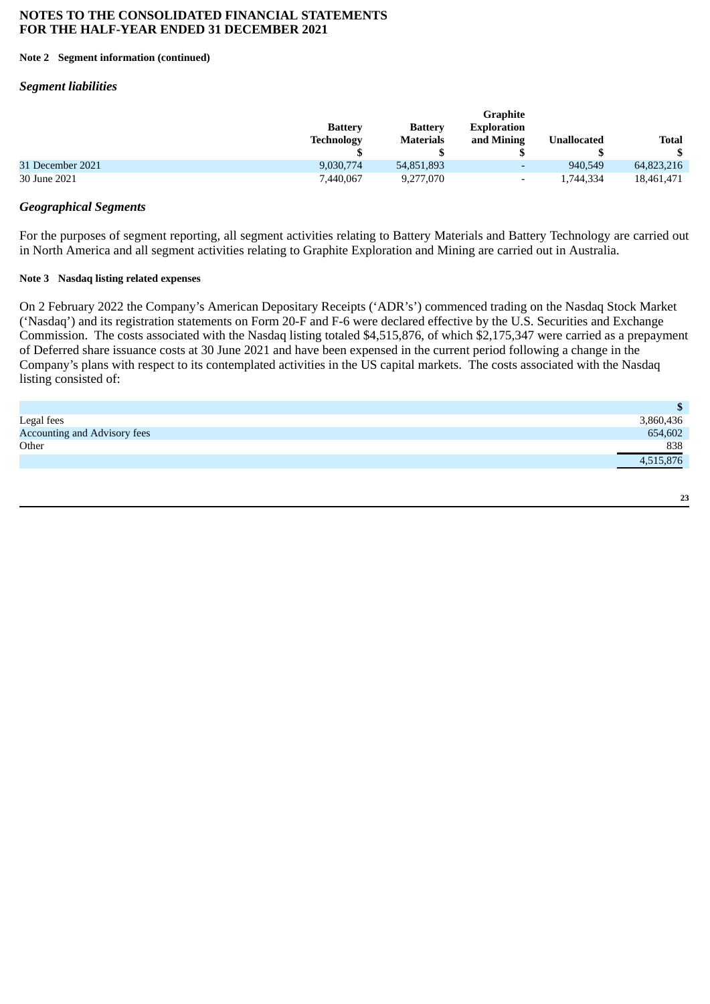#### **Note 2 Segment information (continued)**

#### *Segment liabilities*

|                  |                |                  | <b>Graphite</b>          |                    |              |
|------------------|----------------|------------------|--------------------------|--------------------|--------------|
|                  | <b>Battery</b> | <b>Battery</b>   | <b>Exploration</b>       |                    |              |
|                  | Technology     | <b>Materials</b> | and Mining               | <b>Unallocated</b> | <b>Total</b> |
|                  |                |                  |                          |                    |              |
| 31 December 2021 | 9,030,774      | 54,851,893       | $\overline{\phantom{0}}$ | 940,549            | 64,823,216   |
| 30 June 2021     | 7,440,067      | 9,277,070        | $\overline{\phantom{a}}$ | 1,744,334          | 18,461,471   |

## *Geographical Segments*

For the purposes of segment reporting, all segment activities relating to Battery Materials and Battery Technology are carried out in North America and all segment activities relating to Graphite Exploration and Mining are carried out in Australia.

#### **Note 3 Nasdaq listing related expenses**

On 2 February 2022 the Company's American Depositary Receipts ('ADR's') commenced trading on the Nasdaq Stock Market ('Nasdaq') and its registration statements on Form 20-F and F-6 were declared effective by the U.S. Securities and Exchange Commission. The costs associated with the Nasdaq listing totaled \$4,515,876, of which \$2,175,347 were carried as a prepayment of Deferred share issuance costs at 30 June 2021 and have been expensed in the current period following a change in the Company's plans with respect to its contemplated activities in the US capital markets. The costs associated with the Nasdaq listing consisted of:

|                                     | $\mathbf{s}$ |
|-------------------------------------|--------------|
| Legal fees                          | 3,860,436    |
| <b>Accounting and Advisory fees</b> | 654,602      |
| Other                               | 838          |
|                                     | 4,515,876    |
|                                     |              |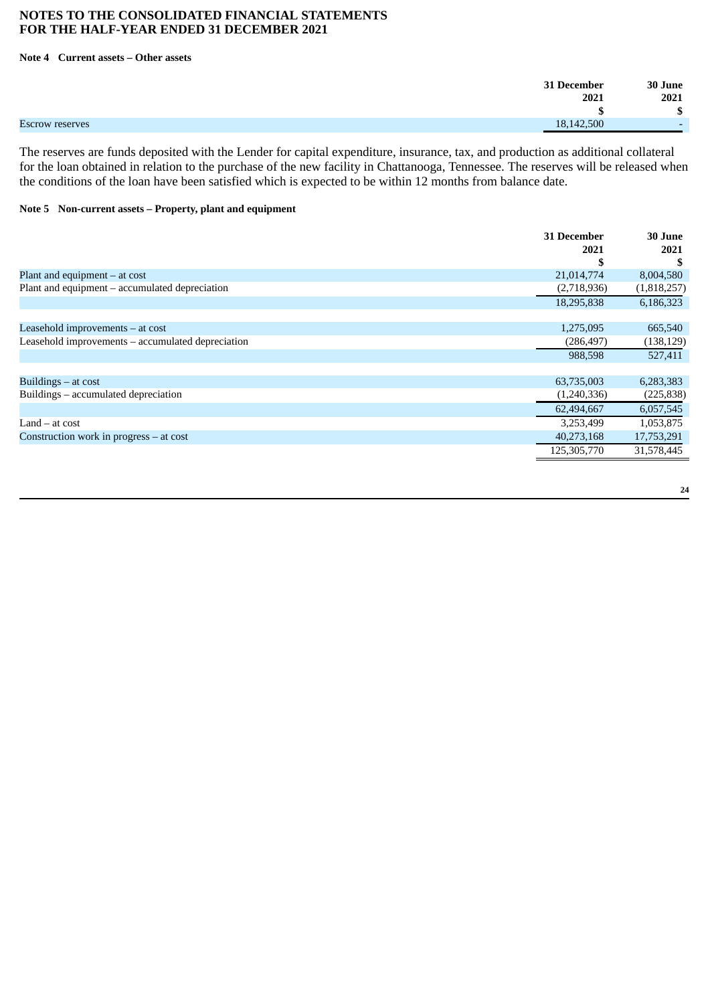## **Note 4 Current assets – Other assets**

| 31 December                   | 30 June                  |
|-------------------------------|--------------------------|
| 2021                          | 2021                     |
|                               | ¢<br>⊅                   |
| Escrow reserves<br>18,142,500 | $\overline{\phantom{0}}$ |

The reserves are funds deposited with the Lender for capital expenditure, insurance, tax, and production as additional collateral for the loan obtained in relation to the purchase of the new facility in Chattanooga, Tennessee. The reserves will be released when the conditions of the loan have been satisfied which is expected to be within 12 months from balance date.

#### **Note 5 Non-current assets – Property, plant and equipment**

|                                                   | <b>31 December</b><br>2021 | 30 June<br>2021 |
|---------------------------------------------------|----------------------------|-----------------|
|                                                   |                            | S               |
| Plant and equipment $-$ at cost                   | 21,014,774                 | 8,004,580       |
| Plant and equipment - accumulated depreciation    | (2,718,936)                | (1,818,257)     |
|                                                   | 18,295,838                 | 6,186,323       |
|                                                   |                            |                 |
| Leasehold improvements – at cost                  | 1,275,095                  | 665,540         |
| Leasehold improvements - accumulated depreciation | (286, 497)                 | (138, 129)      |
|                                                   | 988,598                    | 527,411         |
|                                                   |                            |                 |
| Buildings $-$ at cost                             | 63,735,003                 | 6,283,383       |
| Buildings - accumulated depreciation              | (1,240,336)                | (225, 838)      |
|                                                   | 62,494,667                 | 6,057,545       |
| $Land - at cost$                                  | 3,253,499                  | 1,053,875       |
| Construction work in progress - at cost           | 40,273,168                 | 17,753,291      |
|                                                   | 125,305,770                | 31,578,445      |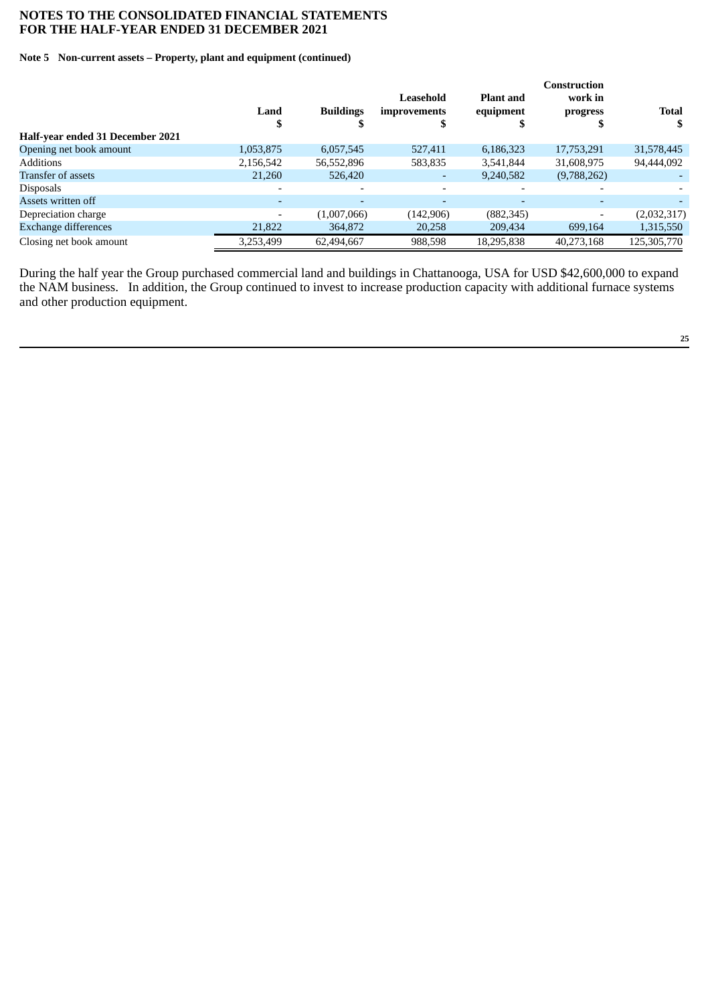#### **Note 5 Non-current assets – Property, plant and equipment (continued)**

|                                  |                          |                          | Leasehold                | <b>Plant and</b> | Construction<br>work in  |                    |
|----------------------------------|--------------------------|--------------------------|--------------------------|------------------|--------------------------|--------------------|
|                                  | Land<br>۰D               | <b>Buildings</b>         | improvements<br>۰п       | equipment        | progress                 | <b>Total</b><br>\$ |
| Half-year ended 31 December 2021 |                          |                          |                          |                  |                          |                    |
| Opening net book amount          | 1,053,875                | 6,057,545                | 527,411                  | 6,186,323        | 17,753,291               | 31,578,445         |
| <b>Additions</b>                 | 2,156,542                | 56,552,896               | 583,835                  | 3,541,844        | 31,608,975               | 94,444,092         |
| Transfer of assets               | 21,260                   | 526,420                  |                          | 9,240,582        | (9,788,262)              |                    |
| <b>Disposals</b>                 | $\overline{\phantom{0}}$ |                          |                          |                  |                          |                    |
| Assets written off               | ۰                        | $\overline{\phantom{a}}$ | $\overline{\phantom{0}}$ |                  | $\overline{\phantom{a}}$ |                    |
| Depreciation charge              | $\overline{\phantom{0}}$ | (1,007,066)              | (142, 906)               | (882, 345)       | $\overline{\phantom{0}}$ | (2,032,317)        |
| <b>Exchange differences</b>      | 21,822                   | 364,872                  | 20,258                   | 209,434          | 699,164                  | 1,315,550          |
| Closing net book amount          | 3,253,499                | 62,494,667               | 988,598                  | 18,295,838       | 40,273,168               | 125,305,770        |

During the half year the Group purchased commercial land and buildings in Chattanooga, USA for USD \$42,600,000 to expand the NAM business. In addition, the Group continued to invest to increase production capacity with additional furnace systems and other production equipment.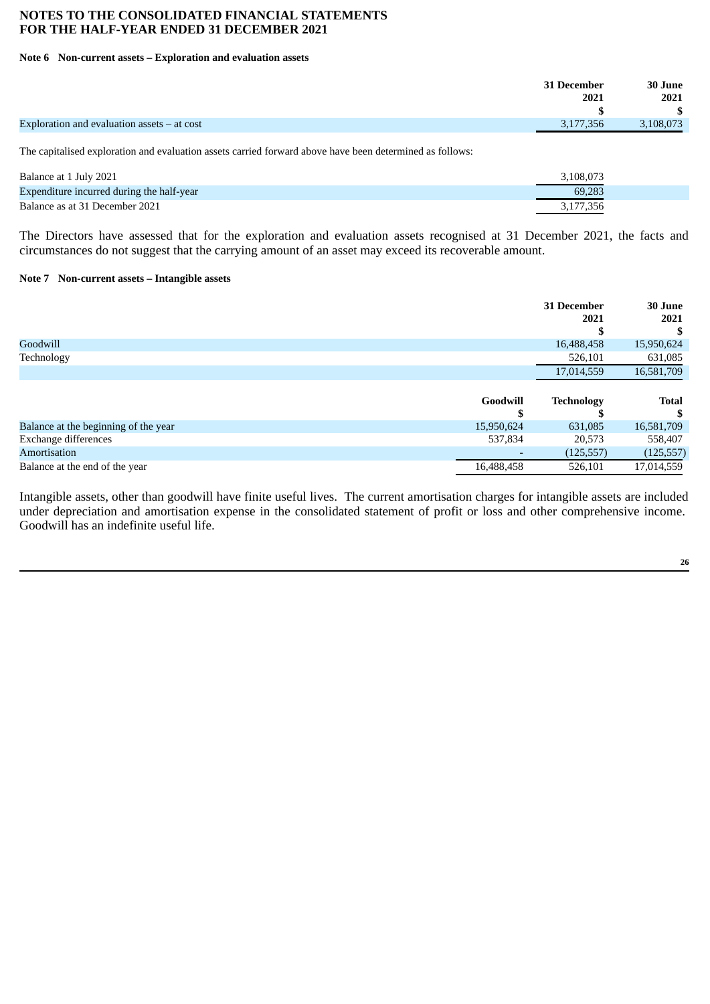#### **Note 6 Non-current assets – Exploration and evaluation assets**

| 31 December                                                | 30 June   |
|------------------------------------------------------------|-----------|
| 2021                                                       | 2021      |
|                                                            |           |
| Exploration and evaluation assets $-$ at cost<br>3,177,356 | 3,108,073 |

The capitalised exploration and evaluation assets carried forward above have been determined as follows:

| Balance at 1 July 2021                    | 3.108.073 |  |
|-------------------------------------------|-----------|--|
| Expenditure incurred during the half-year | 69.283    |  |
| Balance as at 31 December 2021            | 3.177.356 |  |

The Directors have assessed that for the exploration and evaluation assets recognised at 31 December 2021, the facts and circumstances do not suggest that the carrying amount of an asset may exceed its recoverable amount.

#### **Note 7 Non-current assets – Intangible assets**

|                                      |            | <b>31 December</b><br>2021 | 30 June<br>2021 |
|--------------------------------------|------------|----------------------------|-----------------|
| Goodwill                             |            | 16,488,458                 | 15,950,624      |
| Technology                           |            | 526,101                    | 631,085         |
|                                      |            | 17,014,559                 | 16,581,709      |
|                                      | Goodwill   | <b>Technology</b>          | <b>Total</b>    |
| Balance at the beginning of the year | 15,950,624 | 631,085                    | 16,581,709      |
| Exchange differences                 | 537,834    | 20,573                     | 558,407         |
| Amortisation                         |            | (125, 557)                 | (125, 557)      |
| Balance at the end of the year       | 16,488,458 | 526,101                    | 17,014,559      |

Intangible assets, other than goodwill have finite useful lives. The current amortisation charges for intangible assets are included under depreciation and amortisation expense in the consolidated statement of profit or loss and other comprehensive income. Goodwill has an indefinite useful life.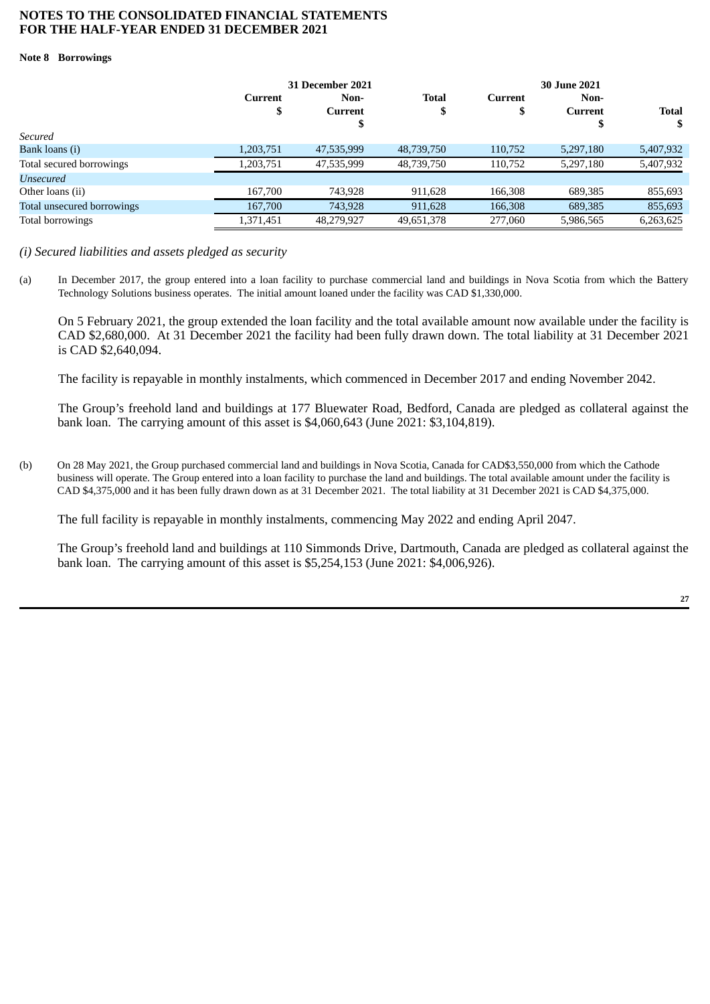#### **Note 8 Borrowings**

|                            | 31 December 2021    |                 |                   |                     |                        |              |
|----------------------------|---------------------|-----------------|-------------------|---------------------|------------------------|--------------|
|                            | <b>Current</b><br>Φ | Non-<br>Current | <b>Total</b><br>J | <b>Current</b><br>D | Non-<br><b>Current</b> | <b>Total</b> |
|                            |                     | \$              |                   |                     |                        | S            |
| Secured                    |                     |                 |                   |                     |                        |              |
| Bank loans (i)             | 1,203,751           | 47,535,999      | 48,739,750        | 110,752             | 5,297,180              | 5,407,932    |
| Total secured borrowings   | 1,203,751           | 47,535,999      | 48,739,750        | 110.752             | 5.297.180              | 5,407,932    |
| Unsecured                  |                     |                 |                   |                     |                        |              |
| Other loans (ii)           | 167,700             | 743,928         | 911,628           | 166,308             | 689,385                | 855,693      |
| Total unsecured borrowings | 167,700             | 743,928         | 911,628           | 166,308             | 689,385                | 855,693      |
| Total borrowings           | 1,371,451           | 48,279,927      | 49,651,378        | 277,060             | 5,986,565              | 6,263,625    |

*(i) Secured liabilities and assets pledged as security*

(a) In December 2017, the group entered into a loan facility to purchase commercial land and buildings in Nova Scotia from which the Battery Technology Solutions business operates. The initial amount loaned under the facility was CAD \$1,330,000.

On 5 February 2021, the group extended the loan facility and the total available amount now available under the facility is CAD \$2,680,000. At 31 December 2021 the facility had been fully drawn down. The total liability at 31 December 2021 is CAD \$2,640,094.

The facility is repayable in monthly instalments, which commenced in December 2017 and ending November 2042.

The Group's freehold land and buildings at 177 Bluewater Road, Bedford, Canada are pledged as collateral against the bank loan. The carrying amount of this asset is \$4,060,643 (June 2021: \$3,104,819).

(b) On 28 May 2021, the Group purchased commercial land and buildings in Nova Scotia, Canada for CAD\$3,550,000 from which the Cathode business will operate. The Group entered into a loan facility to purchase the land and buildings. The total available amount under the facility is CAD \$4,375,000 and it has been fully drawn down as at 31 December 2021. The total liability at 31 December 2021 is CAD \$4,375,000.

The full facility is repayable in monthly instalments, commencing May 2022 and ending April 2047.

The Group's freehold land and buildings at 110 Simmonds Drive, Dartmouth, Canada are pledged as collateral against the bank loan. The carrying amount of this asset is \$5,254,153 (June 2021: \$4,006,926).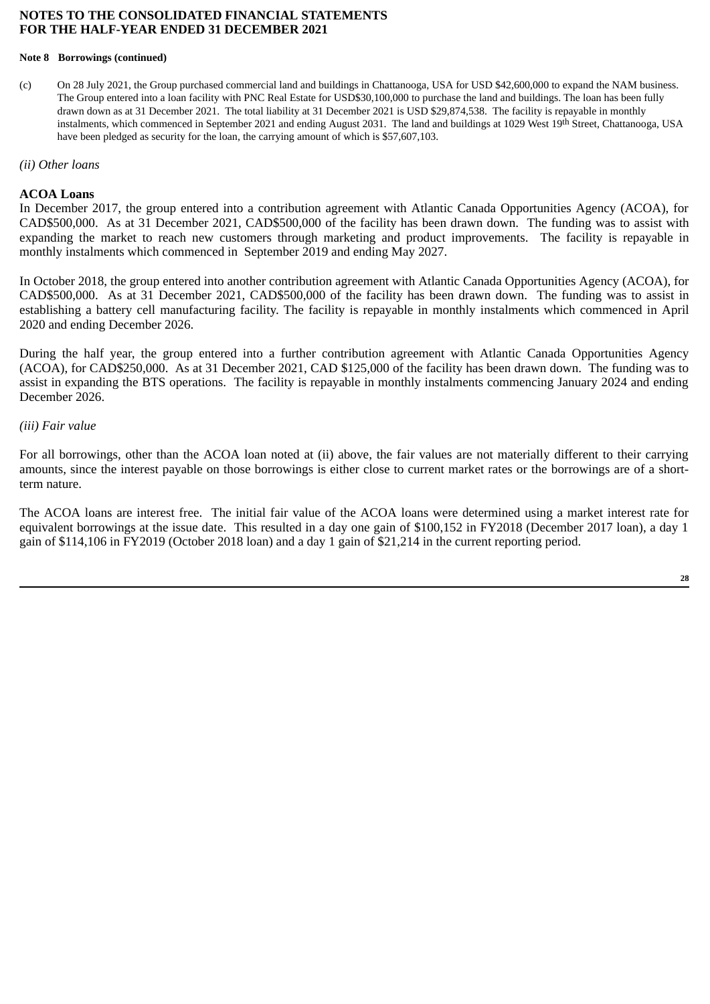#### **Note 8 Borrowings (continued)**

(c) On 28 July 2021, the Group purchased commercial land and buildings in Chattanooga, USA for USD \$42,600,000 to expand the NAM business. The Group entered into a loan facility with PNC Real Estate for USD\$30,100,000 to purchase the land and buildings. The loan has been fully drawn down as at 31 December 2021. The total liability at 31 December 2021 is USD \$29,874,538. The facility is repayable in monthly instalments, which commenced in September 2021 and ending August 2031. The land and buildings at 1029 West 19th Street, Chattanooga, USA have been pledged as security for the loan, the carrying amount of which is \$57,607,103.

#### *(ii) Other loans*

#### **ACOA Loans**

In December 2017, the group entered into a contribution agreement with Atlantic Canada Opportunities Agency (ACOA), for CAD\$500,000. As at 31 December 2021, CAD\$500,000 of the facility has been drawn down. The funding was to assist with expanding the market to reach new customers through marketing and product improvements. The facility is repayable in monthly instalments which commenced in September 2019 and ending May 2027.

In October 2018, the group entered into another contribution agreement with Atlantic Canada Opportunities Agency (ACOA), for CAD\$500,000. As at 31 December 2021, CAD\$500,000 of the facility has been drawn down. The funding was to assist in establishing a battery cell manufacturing facility. The facility is repayable in monthly instalments which commenced in April 2020 and ending December 2026.

During the half year, the group entered into a further contribution agreement with Atlantic Canada Opportunities Agency (ACOA), for CAD\$250,000. As at 31 December 2021, CAD \$125,000 of the facility has been drawn down. The funding was to assist in expanding the BTS operations. The facility is repayable in monthly instalments commencing January 2024 and ending December 2026.

## *(iii) Fair value*

For all borrowings, other than the ACOA loan noted at (ii) above, the fair values are not materially different to their carrying amounts, since the interest payable on those borrowings is either close to current market rates or the borrowings are of a shortterm nature.

The ACOA loans are interest free. The initial fair value of the ACOA loans were determined using a market interest rate for equivalent borrowings at the issue date. This resulted in a day one gain of \$100,152 in FY2018 (December 2017 loan), a day 1 gain of \$114,106 in FY2019 (October 2018 loan) and a day 1 gain of \$21,214 in the current reporting period.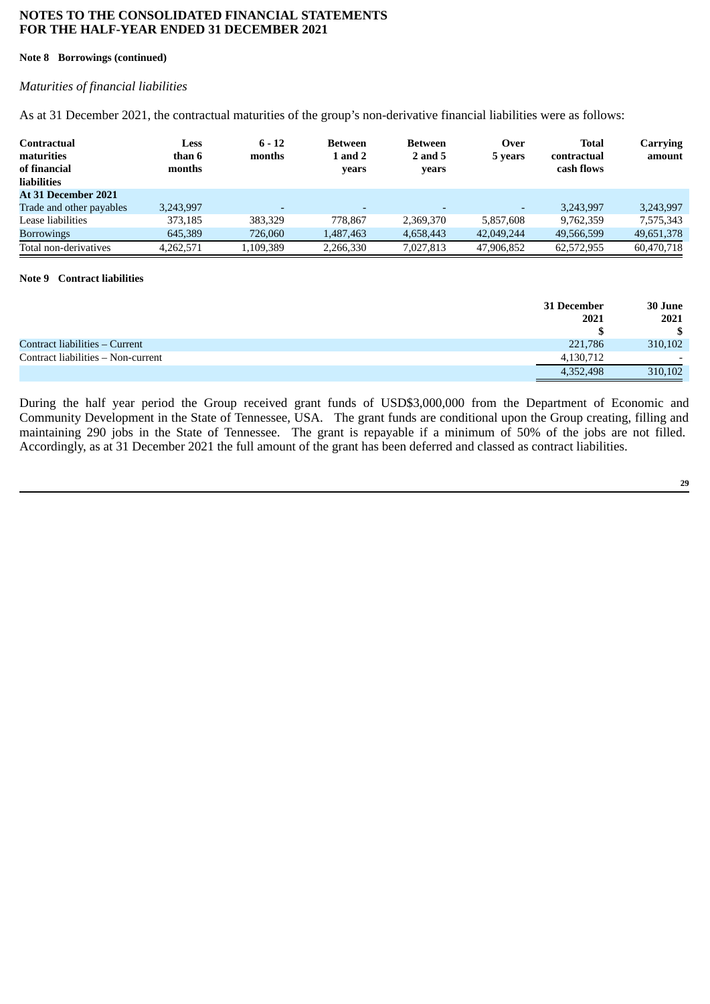#### **Note 8 Borrowings (continued)**

# *Maturities of financial liabilities*

As at 31 December 2021, the contractual maturities of the group's non-derivative financial liabilities were as follows:

| Contractual<br>maturities<br>of financial<br><b>liabilities</b> | Less<br>than 6<br>months | $6 - 12$<br>months       | <b>Between</b><br><b>1 and 2</b><br>vears | <b>Between</b><br>2 and 5<br>years | Over<br>5 years          | <b>Total</b><br>contractual<br>cash flows | <b>Carrying</b><br>amount |
|-----------------------------------------------------------------|--------------------------|--------------------------|-------------------------------------------|------------------------------------|--------------------------|-------------------------------------------|---------------------------|
| At 31 December 2021                                             |                          |                          |                                           |                                    |                          |                                           |                           |
| Trade and other payables                                        | 3,243,997                | $\overline{\phantom{0}}$ | $\overline{\phantom{0}}$                  |                                    | $\overline{\phantom{0}}$ | 3.243.997                                 | 3.243.997                 |
| Lease liabilities                                               | 373,185                  | 383,329                  | 778.867                                   | 2,369,370                          | 5.857.608                | 9.762.359                                 | 7,575,343                 |
| <b>Borrowings</b>                                               | 645,389                  | 726,060                  | 1,487,463                                 | 4,658,443                          | 42,049,244               | 49,566,599                                | 49,651,378                |
| Total non-derivatives                                           | 4,262,571                | 1,109,389                | 2,266,330                                 | 7,027,813                          | 47,906,852               | 62,572,955                                | 60,470,718                |

#### **Note 9 Contract liabilities**

|                                    | 31 December | 30 June |
|------------------------------------|-------------|---------|
|                                    | 2021        | 2021    |
|                                    |             |         |
| Contract liabilities – Current     | 221,786     | 310,102 |
| Contract liabilities - Non-current | 4,130,712   | $-$     |
|                                    | 4,352,498   | 310,102 |

During the half year period the Group received grant funds of USD\$3,000,000 from the Department of Economic and Community Development in the State of Tennessee, USA. The grant funds are conditional upon the Group creating, filling and maintaining 290 jobs in the State of Tennessee. The grant is repayable if a minimum of 50% of the jobs are not filled. Accordingly, as at 31 December 2021 the full amount of the grant has been deferred and classed as contract liabilities.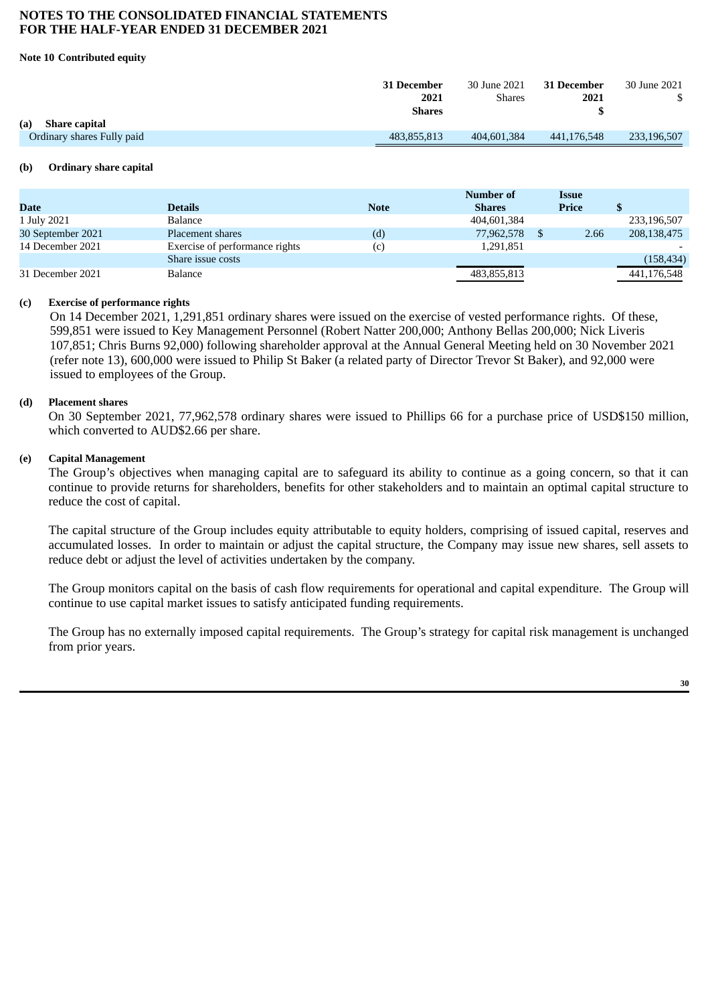#### **Note 10 Contributed equity**

|                             | 31 December   | 30 June 2021  | <b>31 December</b> | 30 June 2021 |
|-----------------------------|---------------|---------------|--------------------|--------------|
|                             | 2021          | <b>Shares</b> | 2021               |              |
|                             | <b>Shares</b> |               |                    |              |
| (a)<br><b>Share capital</b> |               |               |                    |              |
| Ordinary shares Fully paid  | 483.855.813   | 404,601,384   | 441.176.548        | 233,196,507  |
|                             |               |               |                    |              |

#### **(b) Ordinary share capital**

|                   |                                |             | Number of     | Issue |             |
|-------------------|--------------------------------|-------------|---------------|-------|-------------|
| <b>Date</b>       | <b>Details</b>                 | <b>Note</b> | <b>Shares</b> | Price |             |
| 1 July 2021       | Balance                        |             | 404,601,384   |       | 233,196,507 |
| 30 September 2021 | Placement shares               | (d)         | 77,962,578    | 2.66  | 208,138,475 |
| 14 December 2021  | Exercise of performance rights | (c)         | 1,291,851     |       |             |
|                   | Share issue costs              |             |               |       | (158, 434)  |
| 31 December 2021  | Balance                        |             | 483,855,813   |       | 441,176,548 |

#### **(c) Exercise of performance rights**

On 14 December 2021, 1,291,851 ordinary shares were issued on the exercise of vested performance rights. Of these, 599,851 were issued to Key Management Personnel (Robert Natter 200,000; Anthony Bellas 200,000; Nick Liveris 107,851; Chris Burns 92,000) following shareholder approval at the Annual General Meeting held on 30 November 2021 (refer note 13), 600,000 were issued to Philip St Baker (a related party of Director Trevor St Baker), and 92,000 were issued to employees of the Group.

#### **(d) Placement shares**

On 30 September 2021, 77,962,578 ordinary shares were issued to Phillips 66 for a purchase price of USD\$150 million, which converted to AUD\$2.66 per share.

#### **(e) Capital Management**

The Group's objectives when managing capital are to safeguard its ability to continue as a going concern, so that it can continue to provide returns for shareholders, benefits for other stakeholders and to maintain an optimal capital structure to reduce the cost of capital.

The capital structure of the Group includes equity attributable to equity holders, comprising of issued capital, reserves and accumulated losses. In order to maintain or adjust the capital structure, the Company may issue new shares, sell assets to reduce debt or adjust the level of activities undertaken by the company.

The Group monitors capital on the basis of cash flow requirements for operational and capital expenditure. The Group will continue to use capital market issues to satisfy anticipated funding requirements.

The Group has no externally imposed capital requirements. The Group's strategy for capital risk management is unchanged from prior years.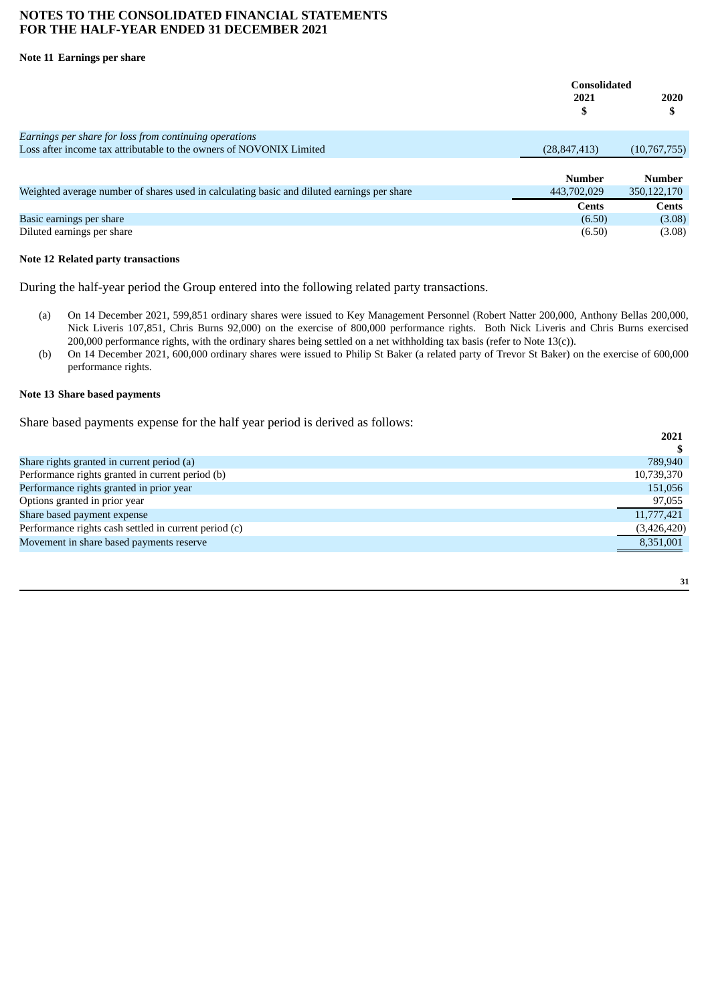#### **Note 11 Earnings per share**

|                                                                                            | <b>Consolidated</b> |               |
|--------------------------------------------------------------------------------------------|---------------------|---------------|
|                                                                                            | 2021<br>J           | 2020<br>S     |
| Earnings per share for loss from continuing operations                                     |                     |               |
| Loss after income tax attributable to the owners of NOVONIX Limited                        | (28, 847, 413)      | (10,767,755)  |
|                                                                                            |                     |               |
|                                                                                            | Number              | <b>Number</b> |
| Weighted average number of shares used in calculating basic and diluted earnings per share | 443,702,029         | 350, 122, 170 |
|                                                                                            | <b>Cents</b>        | <b>Cents</b>  |
| Basic earnings per share                                                                   | (6.50)              | (3.08)        |
| Diluted earnings per share                                                                 | (6.50)              | (3.08)        |

#### **Note 12 Related party transactions**

During the half-year period the Group entered into the following related party transactions.

- (a) On 14 December 2021, 599,851 ordinary shares were issued to Key Management Personnel (Robert Natter 200,000, Anthony Bellas 200,000, Nick Liveris 107,851, Chris Burns 92,000) on the exercise of 800,000 performance rights. Both Nick Liveris and Chris Burns exercised 200,000 performance rights, with the ordinary shares being settled on a net withholding tax basis (refer to Note 13(c)).
- (b) On 14 December 2021, 600,000 ordinary shares were issued to Philip St Baker (a related party of Trevor St Baker) on the exercise of 600,000 performance rights.

#### **Note 13 Share based payments**

Share based payments expense for the half year period is derived as follows:

|                                                       | 2021        |
|-------------------------------------------------------|-------------|
|                                                       |             |
| Share rights granted in current period (a)            | 789,940     |
| Performance rights granted in current period (b)      | 10,739,370  |
| Performance rights granted in prior year              | 151,056     |
| Options granted in prior year                         | 97,055      |
| Share based payment expense                           | 11,777,421  |
| Performance rights cash settled in current period (c) | (3,426,420) |
| Movement in share based payments reserve              | 8,351,001   |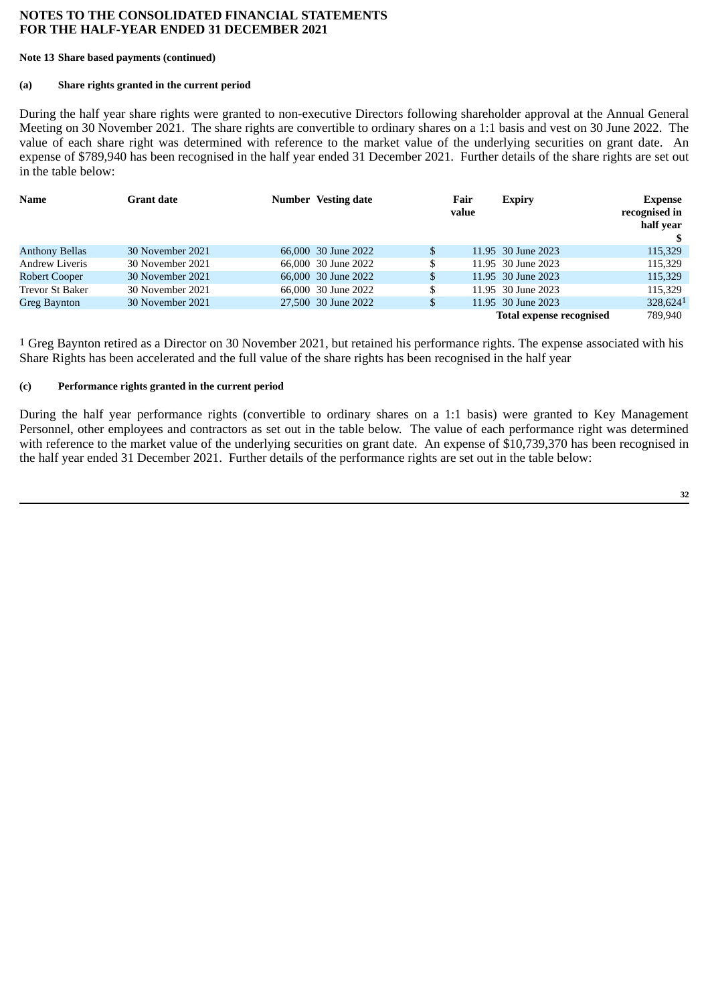#### **Note 13 Share based payments (continued)**

# **(a) Share rights granted in the current period**

During the half year share rights were granted to non-executive Directors following shareholder approval at the Annual General Meeting on 30 November 2021. The share rights are convertible to ordinary shares on a 1:1 basis and vest on 30 June 2022. The value of each share right was determined with reference to the market value of the underlying securities on grant date. An expense of \$789,940 has been recognised in the half year ended 31 December 2021. Further details of the share rights are set out in the table below:

| <b>Name</b>            | Grant date       | <b>Number</b> Vesting date | Fair<br>value | <b>Expiry</b>            | <b>Expense</b><br>recognised in<br>half year |
|------------------------|------------------|----------------------------|---------------|--------------------------|----------------------------------------------|
| <b>Anthony Bellas</b>  | 30 November 2021 | 66,000 30 June 2022        | \$            | 11.95 30 June 2023       | 115,329                                      |
| <b>Andrew Liveris</b>  | 30 November 2021 | 66,000 30 June 2022        | \$            | 11.95 30 June 2023       | 115,329                                      |
| <b>Robert Cooper</b>   | 30 November 2021 | 66,000 30 June 2022        | \$            | 11.95 30 June 2023       | 115,329                                      |
| <b>Trevor St Baker</b> | 30 November 2021 | 66,000 30 June 2022        | \$            | 11.95 30 June 2023       | 115,329                                      |
| Greg Baynton           | 30 November 2021 | 27,500 30 June 2022        | \$            | 11.95 30 June 2023       | 328,6241                                     |
|                        |                  |                            |               | Total expense recognised | 789,940                                      |

 $1$  Greg Baynton retired as a Director on 30 November 2021, but retained his performance rights. The expense associated with his Share Rights has been accelerated and the full value of the share rights has been recognised in the half year

# **(c) Performance rights granted in the current period**

During the half year performance rights (convertible to ordinary shares on a 1:1 basis) were granted to Key Management Personnel, other employees and contractors as set out in the table below. The value of each performance right was determined with reference to the market value of the underlying securities on grant date. An expense of \$10,739,370 has been recognised in the half year ended 31 December 2021. Further details of the performance rights are set out in the table below: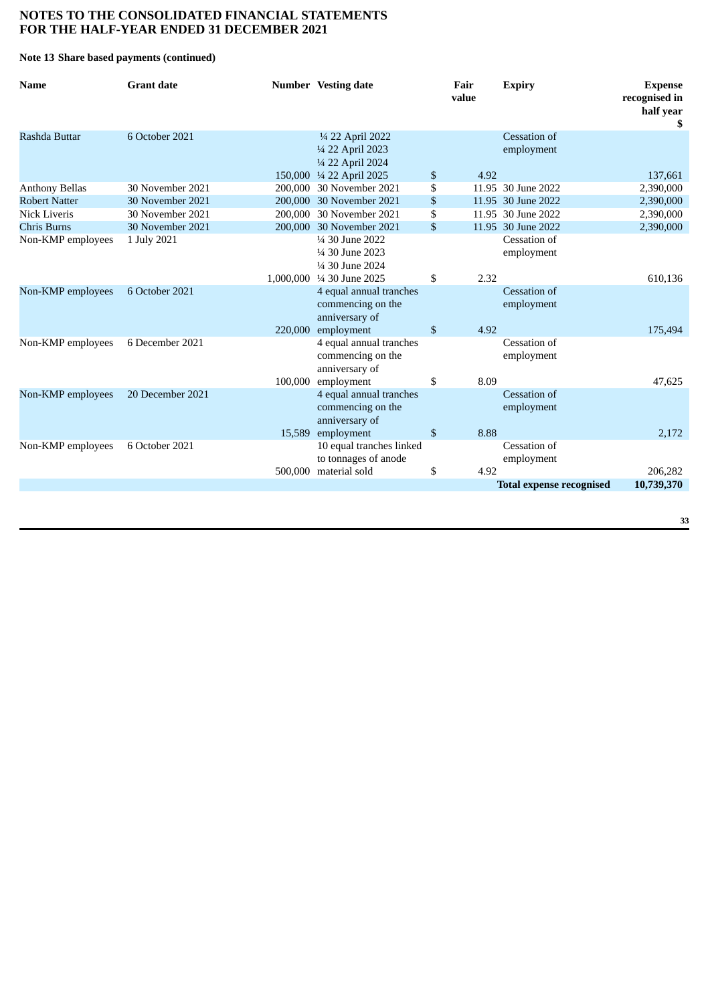#### **Note 13 Share based payments (continued)**

| Name                  | <b>Grant date</b> |         | <b>Number</b> Vesting date                                                             | Fair<br>value | <b>Expiry</b>                   | <b>Expense</b><br>recognised in<br>half year<br>\$ |
|-----------------------|-------------------|---------|----------------------------------------------------------------------------------------|---------------|---------------------------------|----------------------------------------------------|
| Rashda Buttar         | 6 October 2021    |         | 1/4 22 April 2022<br>1/4 22 April 2023<br>1/4 22 April 2024                            |               | Cessation of<br>employment      |                                                    |
|                       |                   |         | 150,000 ¼ 22 April 2025                                                                | \$<br>4.92    |                                 | 137,661                                            |
| <b>Anthony Bellas</b> | 30 November 2021  | 200,000 | 30 November 2021                                                                       | \$            | 11.95 30 June 2022              | 2,390,000                                          |
| <b>Robert Natter</b>  | 30 November 2021  |         | 200,000 30 November 2021                                                               | \$            | 11.95 30 June 2022              | 2,390,000                                          |
| Nick Liveris          | 30 November 2021  |         | 200,000 30 November 2021                                                               | \$            | 11.95 30 June 2022              | 2,390,000                                          |
| <b>Chris Burns</b>    | 30 November 2021  |         | 200,000 30 November 2021                                                               | \$            | 11.95 30 June 2022              | 2,390,000                                          |
| Non-KMP employees     | 1 July 2021       |         | 1/4 30 June 2022<br>1/4 30 June 2023<br>1/4 30 June 2024<br>1,000,000 1/4 30 June 2025 | \$<br>2.32    | Cessation of<br>employment      | 610,136                                            |
| Non-KMP employees     | 6 October 2021    |         | 4 equal annual tranches<br>commencing on the<br>anniversary of                         |               | Cessation of<br>employment      |                                                    |
|                       |                   | 220,000 | employment                                                                             | \$<br>4.92    |                                 | 175,494                                            |
| Non-KMP employees     | 6 December 2021   |         | 4 equal annual tranches<br>commencing on the<br>anniversary of                         |               | Cessation of<br>employment      |                                                    |
|                       |                   | 100,000 | employment                                                                             | \$<br>8.09    |                                 | 47,625                                             |
| Non-KMP employees     | 20 December 2021  |         | 4 equal annual tranches<br>commencing on the<br>anniversary of                         |               | Cessation of<br>employment      |                                                    |
|                       |                   |         | 15,589 employment                                                                      | \$<br>8.88    |                                 | 2,172                                              |
| Non-KMP employees     | 6 October 2021    |         | 10 equal tranches linked<br>to tonnages of anode                                       |               | Cessation of<br>employment      |                                                    |
|                       |                   |         | 500,000 material sold                                                                  | \$<br>4.92    |                                 | 206,282                                            |
|                       |                   |         |                                                                                        |               | <b>Total expense recognised</b> | 10,739,370                                         |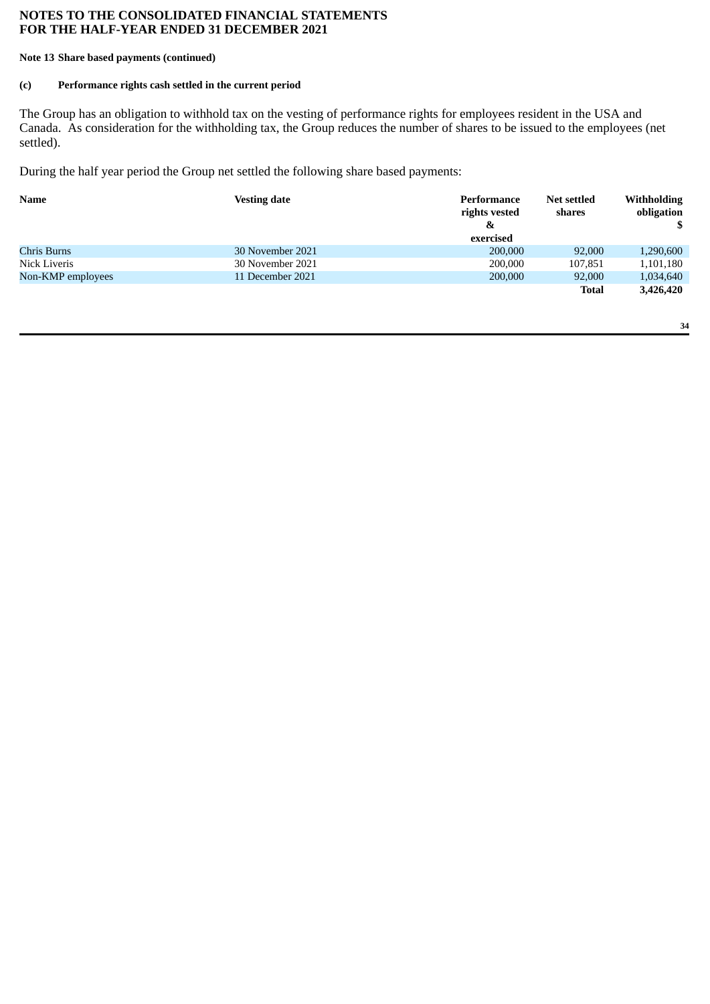#### **Note 13 Share based payments (continued)**

# **(c) Performance rights cash settled in the current period**

The Group has an obligation to withhold tax on the vesting of performance rights for employees resident in the USA and Canada. As consideration for the withholding tax, the Group reduces the number of shares to be issued to the employees (net settled).

During the half year period the Group net settled the following share based payments:

| <b>Name</b>       | <b>Vesting date</b> | Performance<br>rights vested<br>&<br>exercised | <b>Net settled</b><br>shares | <b>Withholding</b><br>obligation |
|-------------------|---------------------|------------------------------------------------|------------------------------|----------------------------------|
| Chris Burns       | 30 November 2021    | 200,000                                        | 92,000                       | 1,290,600                        |
| Nick Liveris      | 30 November 2021    | 200,000                                        | 107,851                      | 1,101,180                        |
| Non-KMP employees | 11 December 2021    | 200,000                                        | 92,000                       | 1,034,640                        |
|                   |                     |                                                | Total                        | 3,426,420                        |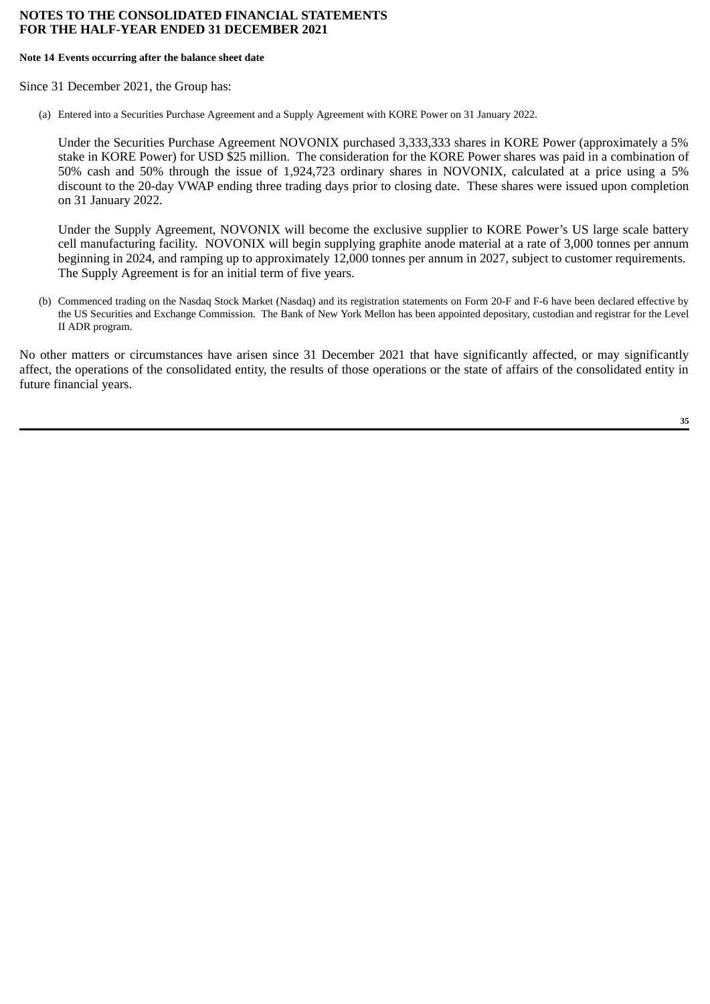#### **Note 14 Events occurring after the balance sheet date**

Since 31 December 2021, the Group has:

(a) Entered into a Securities Purchase Agreement and a Supply Agreement with KORE Power on 31 January 2022.

Under the Securities Purchase Agreement NOVONIX purchased 3,333,333 shares in KORE Power (approximately a 5% stake in KORE Power) for USD \$25 million. The consideration for the KORE Power shares was paid in a combination of 50% cash and 50% through the issue of 1,924,723 ordinary shares in NOVONIX, calculated at a price using a 5% discount to the 20-day VWAP ending three trading days prior to closing date. These shares were issued upon completion on 31 January 2022.

Under the Supply Agreement, NOVONIX will become the exclusive supplier to KORE Power's US large scale battery cell manufacturing facility. NOVONIX will begin supplying graphite anode material at a rate of 3,000 tonnes per annum beginning in 2024, and ramping up to approximately 12,000 tonnes per annum in 2027, subject to customer requirements. The Supply Agreement is for an initial term of five years.

(b) Commenced trading on the Nasdaq Stock Market (Nasdaq) and its registration statements on Form 20-F and F-6 have been declared effective by the US Securities and Exchange Commission. The Bank of New York Mellon has been appointed depositary, custodian and registrar for the Level II ADR program.

No other matters or circumstances have arisen since 31 December 2021 that have significantly affected, or may significantly affect, the operations of the consolidated entity, the results of those operations or the state of affairs of the consolidated entity in future financial years.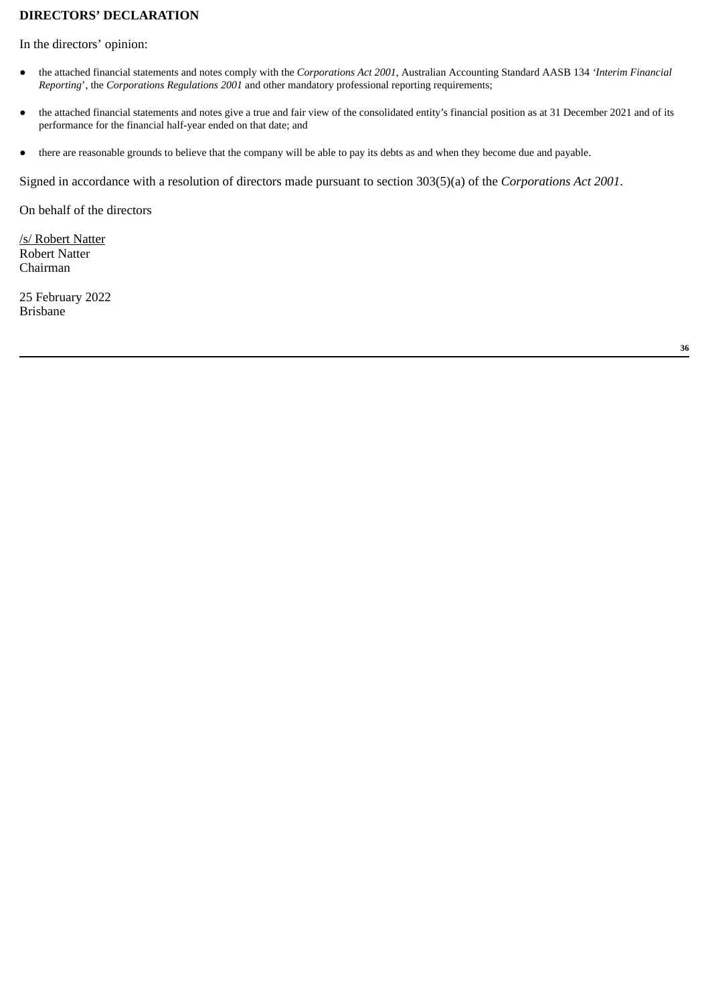# <span id="page-39-0"></span>**DIRECTORS' DECLARATION**

In the directors' opinion:

- the attached financial statements and notes comply with the *Corporations Act 2001*, Australian Accounting Standard AASB 134 *'Interim Financial Reporting*', the *Corporations Regulations 2001* and other mandatory professional reporting requirements;
- the attached financial statements and notes give a true and fair view of the consolidated entity's financial position as at 31 December 2021 and of its performance for the financial half-year ended on that date; and
- there are reasonable grounds to believe that the company will be able to pay its debts as and when they become due and payable.

Signed in accordance with a resolution of directors made pursuant to section 303(5)(a) of the *Corporations Act 2001*.

On behalf of the directors

/s/ Robert Natter Robert Natter Chairman

25 February 2022 Brisbane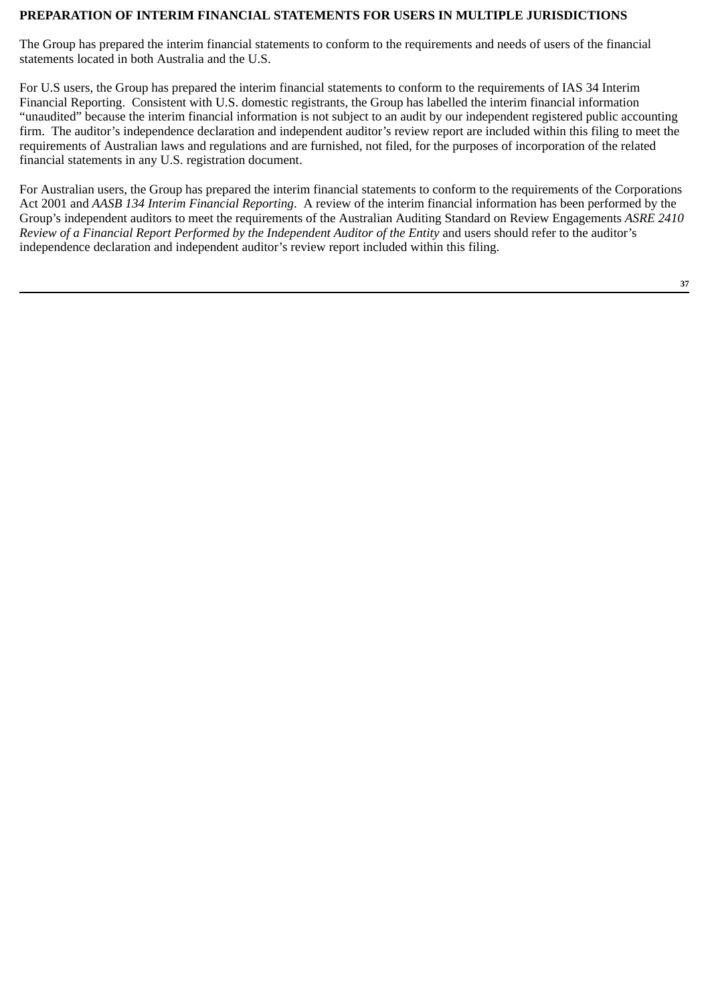# <span id="page-40-0"></span>**PREPARATION OF INTERIM FINANCIAL STATEMENTS FOR USERS IN MULTIPLE JURISDICTIONS**

The Group has prepared the interim financial statements to conform to the requirements and needs of users of the financial statements located in both Australia and the U.S.

For U.S users, the Group has prepared the interim financial statements to conform to the requirements of IAS 34 Interim Financial Reporting. Consistent with U.S. domestic registrants, the Group has labelled the interim financial information "unaudited" because the interim financial information is not subject to an audit by our independent registered public accounting firm. The auditor's independence declaration and independent auditor's review report are included within this filing to meet the requirements of Australian laws and regulations and are furnished, not filed, for the purposes of incorporation of the related financial statements in any U.S. registration document.

For Australian users, the Group has prepared the interim financial statements to conform to the requirements of the Corporations Act 2001 and *AASB 134 Interim Financial Reporting*. A review of the interim financial information has been performed by the Group's independent auditors to meet the requirements of the Australian Auditing Standard on Review Engagements *ASRE 2410 Review of a Financial Report Performed by the Independent Auditor of the Entity* and users should refer to the auditor's independence declaration and independent auditor's review report included within this filing.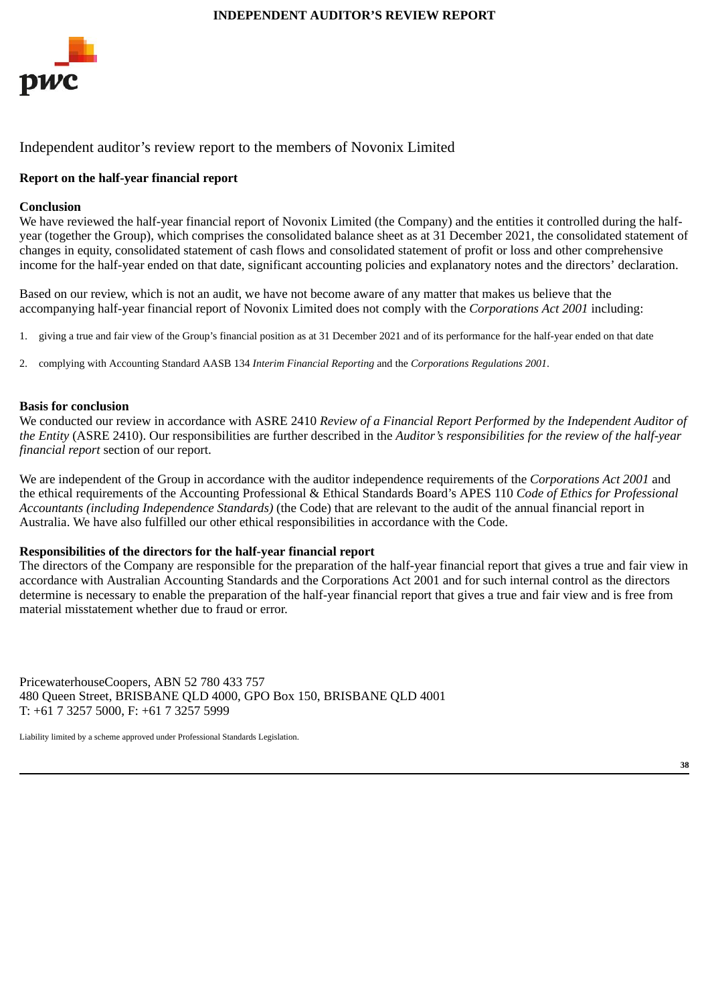<span id="page-41-0"></span>

# Independent auditor's review report to the members of Novonix Limited

# **Report on the half-year financial report**

## **Conclusion**

We have reviewed the half-year financial report of Novonix Limited (the Company) and the entities it controlled during the halfyear (together the Group), which comprises the consolidated balance sheet as at 31 December 2021, the consolidated statement of changes in equity, consolidated statement of cash flows and consolidated statement of profit or loss and other comprehensive income for the half-year ended on that date, significant accounting policies and explanatory notes and the directors' declaration.

Based on our review, which is not an audit, we have not become aware of any matter that makes us believe that the accompanying half-year financial report of Novonix Limited does not comply with the *Corporations Act 2001* including:

- 1. giving a true and fair view of the Group's financial position as at 31 December 2021 and of its performance for the half-year ended on that date
- 2. complying with Accounting Standard AASB 134 *Interim Financial Reporting* and the *Corporations Regulations 2001*.

#### **Basis for conclusion**

We conducted our review in accordance with ASRE 2410 *Review of a Financial Report Performed by the Independent Auditor of the Entity* (ASRE 2410). Our responsibilities are further described in the *Auditor's responsibilities for the review of the half-year financial report* section of our report.

We are independent of the Group in accordance with the auditor independence requirements of the *Corporations Act 2001* and the ethical requirements of the Accounting Professional & Ethical Standards Board's APES 110 *Code of Ethics for Professional Accountants (including Independence Standards)* (the Code) that are relevant to the audit of the annual financial report in Australia. We have also fulfilled our other ethical responsibilities in accordance with the Code.

#### **Responsibilities of the directors for the half-year financial report**

The directors of the Company are responsible for the preparation of the half-year financial report that gives a true and fair view in accordance with Australian Accounting Standards and the Corporations Act 2001 and for such internal control as the directors determine is necessary to enable the preparation of the half-year financial report that gives a true and fair view and is free from material misstatement whether due to fraud or error.

PricewaterhouseCoopers, ABN 52 780 433 757 480 Queen Street, BRISBANE QLD 4000, GPO Box 150, BRISBANE QLD 4001 T: +61 7 3257 5000, F: +61 7 3257 5999

Liability limited by a scheme approved under Professional Standards Legislation.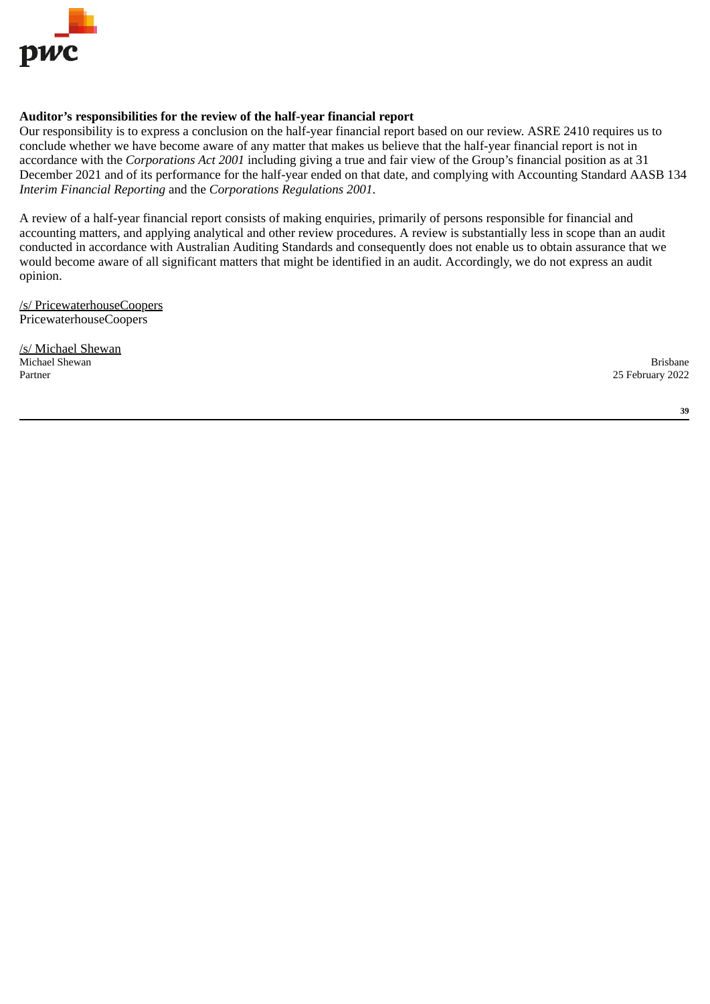

# **Auditor's responsibilities for the review of the half-year financial report**

Our responsibility is to express a conclusion on the half-year financial report based on our review. ASRE 2410 requires us to conclude whether we have become aware of any matter that makes us believe that the half-year financial report is not in accordance with the *Corporations Act 2001* including giving a true and fair view of the Group's financial position as at 31 December 2021 and of its performance for the half-year ended on that date, and complying with Accounting Standard AASB 134 *Interim Financial Reporting* and the *Corporations Regulations 2001*.

A review of a half-year financial report consists of making enquiries, primarily of persons responsible for financial and accounting matters, and applying analytical and other review procedures. A review is substantially less in scope than an audit conducted in accordance with Australian Auditing Standards and consequently does not enable us to obtain assurance that we would become aware of all significant matters that might be identified in an audit. Accordingly, we do not express an audit opinion.

/s/ PricewaterhouseCoopers PricewaterhouseCoopers

**/s/ Michael Shewan**<br>Michael Shewan Michael Shewan Brisbane Partner 25 February 2022